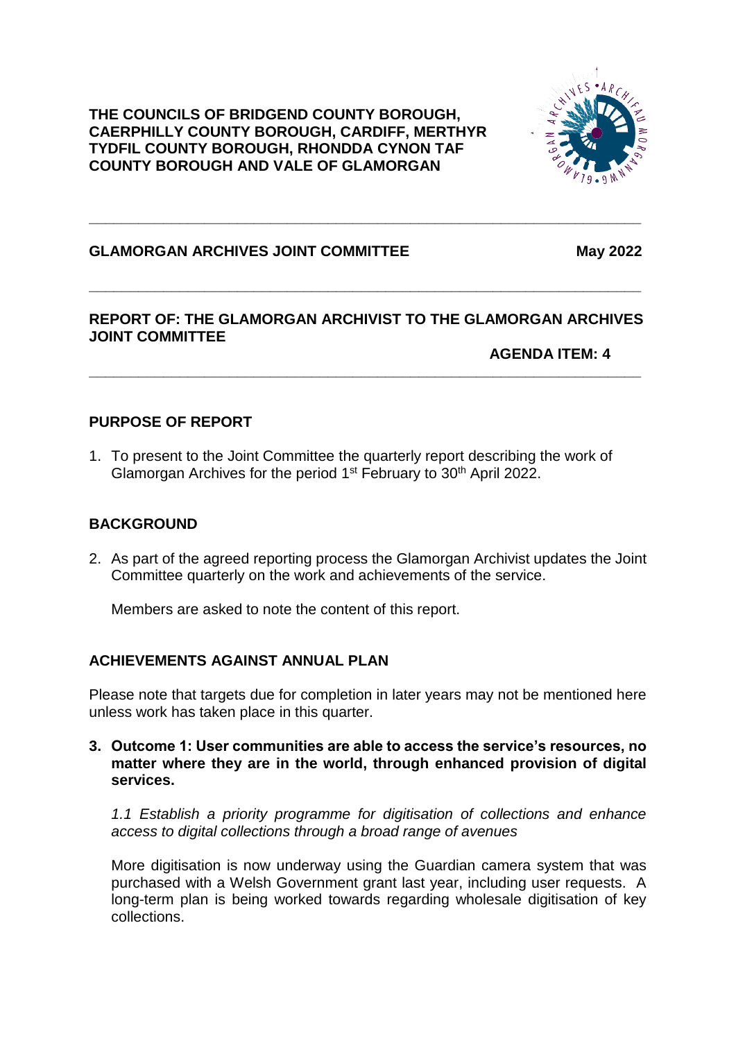### **THE COUNCILS OF BRIDGEND COUNTY BOROUGH, CAERPHILLY COUNTY BOROUGH, CARDIFF, MERTHYR TYDFIL COUNTY BOROUGH, RHONDDA CYNON TAF COUNTY BOROUGH AND VALE OF GLAMORGAN**



# **GLAMORGAN ARCHIVES JOINT COMMITTEE May 2022**

# **REPORT OF: THE GLAMORGAN ARCHIVIST TO THE GLAMORGAN ARCHIVES JOINT COMMITTEE**

**\_\_\_\_\_\_\_\_\_\_\_\_\_\_\_\_\_\_\_\_\_\_\_\_\_\_\_\_\_\_\_\_\_\_\_\_\_\_\_\_\_\_\_\_\_\_\_\_\_\_\_\_\_\_\_\_\_\_\_\_\_\_\_\_\_\_\_**

**\_\_\_\_\_\_\_\_\_\_\_\_\_\_\_\_\_\_\_\_\_\_\_\_\_\_\_\_\_\_\_\_\_\_\_\_\_\_\_\_\_\_\_\_\_\_\_\_\_\_\_\_\_\_\_\_\_\_\_\_\_\_\_\_\_\_\_**

**\_\_\_\_\_\_\_\_\_\_\_\_\_\_\_\_\_\_\_\_\_\_\_\_\_\_\_\_\_\_\_\_\_\_\_\_\_\_\_\_\_\_\_\_\_\_\_\_\_\_\_\_\_\_\_\_\_\_\_\_\_\_\_\_\_\_\_**

**AGENDA ITEM: 4**

## **PURPOSE OF REPORT**

1. To present to the Joint Committee the quarterly report describing the work of Glamorgan Archives for the period 1<sup>st</sup> February to 30<sup>th</sup> April 2022.

### **BACKGROUND**

2. As part of the agreed reporting process the Glamorgan Archivist updates the Joint Committee quarterly on the work and achievements of the service.

Members are asked to note the content of this report.

#### **ACHIEVEMENTS AGAINST ANNUAL PLAN**

Please note that targets due for completion in later years may not be mentioned here unless work has taken place in this quarter.

**3. Outcome 1: User communities are able to access the service's resources, no matter where they are in the world, through enhanced provision of digital services.**

*1.1 Establish a priority programme for digitisation of collections and enhance access to digital collections through a broad range of avenues*

More digitisation is now underway using the Guardian camera system that was purchased with a Welsh Government grant last year, including user requests. A long-term plan is being worked towards regarding wholesale digitisation of key collections.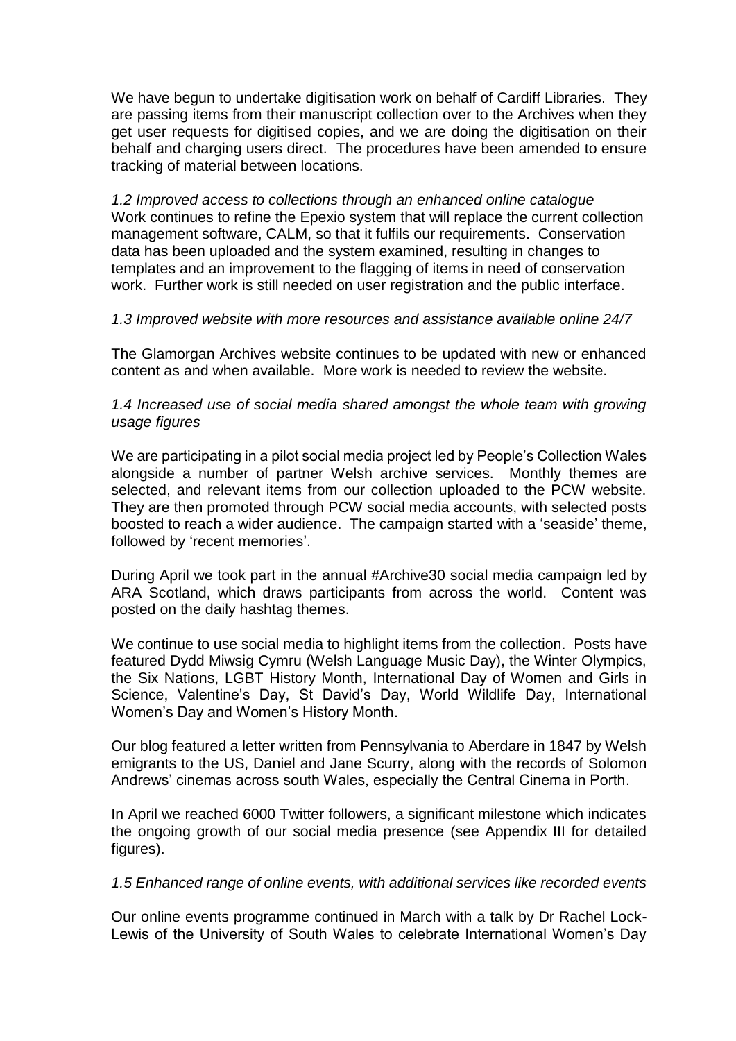We have begun to undertake digitisation work on behalf of Cardiff Libraries. They are passing items from their manuscript collection over to the Archives when they get user requests for digitised copies, and we are doing the digitisation on their behalf and charging users direct. The procedures have been amended to ensure tracking of material between locations.

*1.2 Improved access to collections through an enhanced online catalogue* Work continues to refine the Epexio system that will replace the current collection management software, CALM, so that it fulfils our requirements. Conservation data has been uploaded and the system examined, resulting in changes to templates and an improvement to the flagging of items in need of conservation work. Further work is still needed on user registration and the public interface.

#### *1.3 Improved website with more resources and assistance available online 24/7*

The Glamorgan Archives website continues to be updated with new or enhanced content as and when available. More work is needed to review the website.

*1.4 Increased use of social media shared amongst the whole team with growing usage figures*

We are participating in a pilot social media project led by People's Collection Wales alongside a number of partner Welsh archive services. Monthly themes are selected, and relevant items from our collection uploaded to the PCW website. They are then promoted through PCW social media accounts, with selected posts boosted to reach a wider audience. The campaign started with a 'seaside' theme, followed by 'recent memories'.

During April we took part in the annual #Archive30 social media campaign led by ARA Scotland, which draws participants from across the world. Content was posted on the daily hashtag themes.

We continue to use social media to highlight items from the collection. Posts have featured Dydd Miwsig Cymru (Welsh Language Music Day), the Winter Olympics, the Six Nations, LGBT History Month, International Day of Women and Girls in Science, Valentine's Day, St David's Day, World Wildlife Day, International Women's Day and Women's History Month.

Our blog featured a letter written from Pennsylvania to Aberdare in 1847 by Welsh emigrants to the US, Daniel and Jane Scurry, along with the records of Solomon Andrews' cinemas across south Wales, especially the Central Cinema in Porth.

In April we reached 6000 Twitter followers, a significant milestone which indicates the ongoing growth of our social media presence (see Appendix III for detailed figures).

#### *1.5 Enhanced range of online events, with additional services like recorded events*

Our online events programme continued in March with a talk by Dr Rachel Lock-Lewis of the University of South Wales to celebrate International Women's Day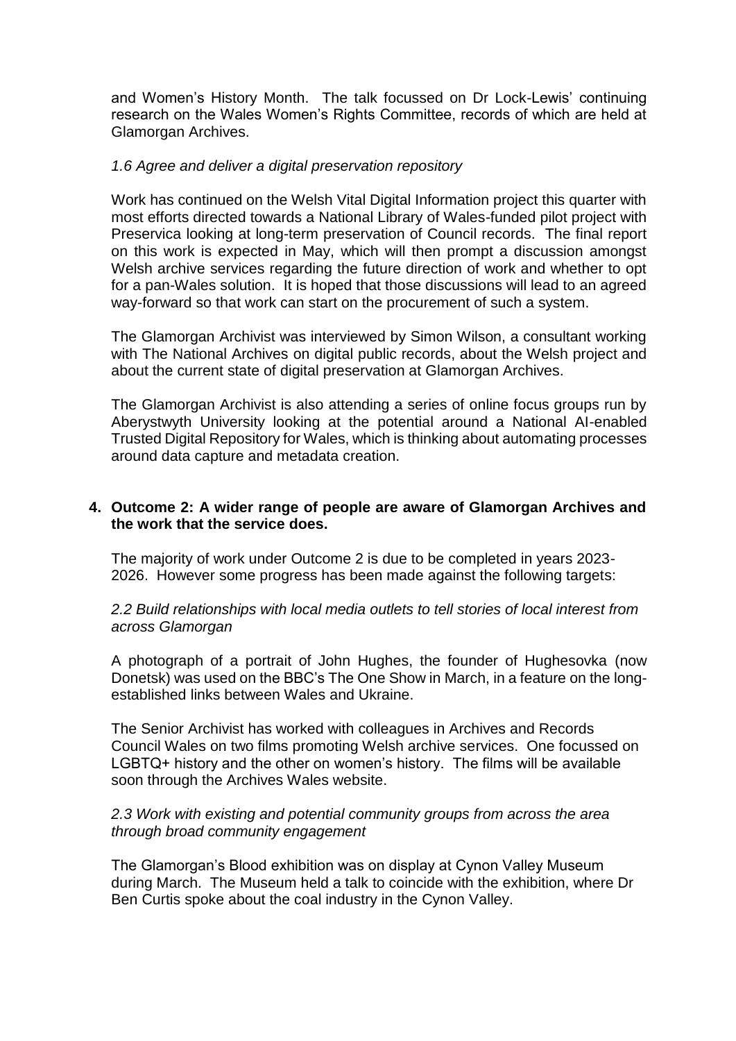and Women's History Month. The talk focussed on Dr Lock-Lewis' continuing research on the Wales Women's Rights Committee, records of which are held at Glamorgan Archives.

#### *1.6 Agree and deliver a digital preservation repository*

Work has continued on the Welsh Vital Digital Information project this quarter with most efforts directed towards a National Library of Wales-funded pilot project with Preservica looking at long-term preservation of Council records. The final report on this work is expected in May, which will then prompt a discussion amongst Welsh archive services regarding the future direction of work and whether to opt for a pan-Wales solution. It is hoped that those discussions will lead to an agreed way-forward so that work can start on the procurement of such a system.

The Glamorgan Archivist was interviewed by Simon Wilson, a consultant working with The National Archives on digital public records, about the Welsh project and about the current state of digital preservation at Glamorgan Archives.

The Glamorgan Archivist is also attending a series of online focus groups run by Aberystwyth University looking at the potential around a National AI-enabled Trusted Digital Repository for Wales, which is thinking about automating processes around data capture and metadata creation.

#### **4. Outcome 2: A wider range of people are aware of Glamorgan Archives and the work that the service does.**

The majority of work under Outcome 2 is due to be completed in years 2023- 2026. However some progress has been made against the following targets:

*2.2 Build relationships with local media outlets to tell stories of local interest from across Glamorgan*

A photograph of a portrait of John Hughes, the founder of Hughesovka (now Donetsk) was used on the BBC's The One Show in March, in a feature on the longestablished links between Wales and Ukraine.

The Senior Archivist has worked with colleagues in Archives and Records Council Wales on two films promoting Welsh archive services. One focussed on LGBTQ+ history and the other on women's history. The films will be available soon through the Archives Wales website.

#### *2.3 Work with existing and potential community groups from across the area through broad community engagement*

The Glamorgan's Blood exhibition was on display at Cynon Valley Museum during March. The Museum held a talk to coincide with the exhibition, where Dr Ben Curtis spoke about the coal industry in the Cynon Valley.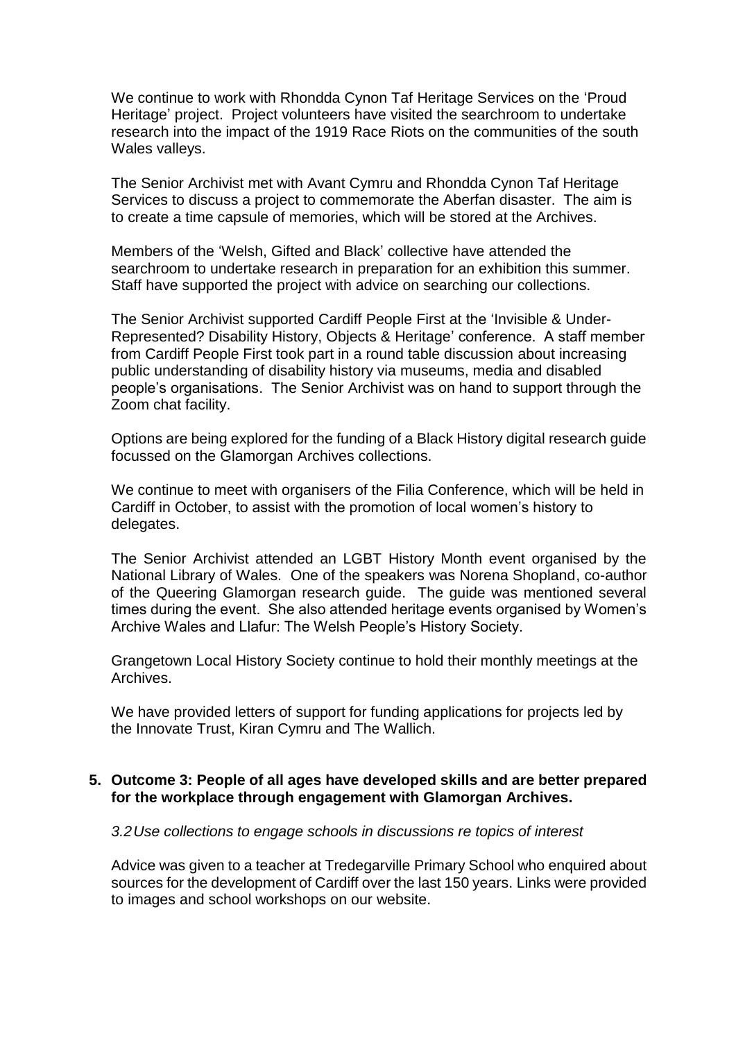We continue to work with Rhondda Cynon Taf Heritage Services on the 'Proud Heritage' project. Project volunteers have visited the searchroom to undertake research into the impact of the 1919 Race Riots on the communities of the south Wales valleys.

The Senior Archivist met with Avant Cymru and Rhondda Cynon Taf Heritage Services to discuss a project to commemorate the Aberfan disaster. The aim is to create a time capsule of memories, which will be stored at the Archives.

Members of the 'Welsh, Gifted and Black' collective have attended the searchroom to undertake research in preparation for an exhibition this summer. Staff have supported the project with advice on searching our collections.

The Senior Archivist supported Cardiff People First at the 'Invisible & Under-Represented? Disability History, Objects & Heritage' conference. A staff member from Cardiff People First took part in a round table discussion about increasing public understanding of disability history via museums, media and disabled people's organisations. The Senior Archivist was on hand to support through the Zoom chat facility.

Options are being explored for the funding of a Black History digital research guide focussed on the Glamorgan Archives collections.

We continue to meet with organisers of the Filia Conference, which will be held in Cardiff in October, to assist with the promotion of local women's history to delegates.

The Senior Archivist attended an LGBT History Month event organised by the National Library of Wales. One of the speakers was Norena Shopland, co-author of the Queering Glamorgan research guide. The guide was mentioned several times during the event. She also attended heritage events organised by Women's Archive Wales and Llafur: The Welsh People's History Society.

Grangetown Local History Society continue to hold their monthly meetings at the Archives.

We have provided letters of support for funding applications for projects led by the Innovate Trust, Kiran Cymru and The Wallich.

#### **5. Outcome 3: People of all ages have developed skills and are better prepared for the workplace through engagement with Glamorgan Archives.**

*3.2Use collections to engage schools in discussions re topics of interest*

Advice was given to a teacher at Tredegarville Primary School who enquired about sources for the development of Cardiff over the last 150 years. Links were provided to images and school workshops on our website.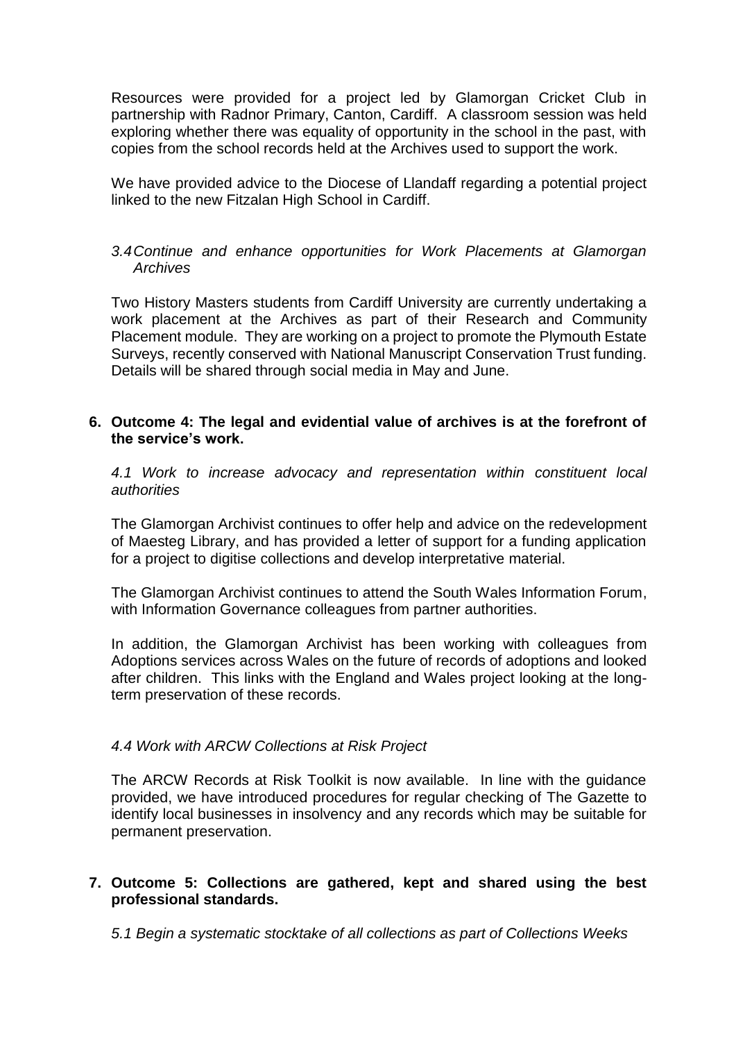Resources were provided for a project led by Glamorgan Cricket Club in partnership with Radnor Primary, Canton, Cardiff. A classroom session was held exploring whether there was equality of opportunity in the school in the past, with copies from the school records held at the Archives used to support the work.

We have provided advice to the Diocese of Llandaff regarding a potential project linked to the new Fitzalan High School in Cardiff.

#### *3.4Continue and enhance opportunities for Work Placements at Glamorgan Archives*

Two History Masters students from Cardiff University are currently undertaking a work placement at the Archives as part of their Research and Community Placement module. They are working on a project to promote the Plymouth Estate Surveys, recently conserved with National Manuscript Conservation Trust funding. Details will be shared through social media in May and June.

#### **6. Outcome 4: The legal and evidential value of archives is at the forefront of the service's work.**

*4.1 Work to increase advocacy and representation within constituent local authorities*

The Glamorgan Archivist continues to offer help and advice on the redevelopment of Maesteg Library, and has provided a letter of support for a funding application for a project to digitise collections and develop interpretative material.

The Glamorgan Archivist continues to attend the South Wales Information Forum, with Information Governance colleagues from partner authorities.

In addition, the Glamorgan Archivist has been working with colleagues from Adoptions services across Wales on the future of records of adoptions and looked after children. This links with the England and Wales project looking at the longterm preservation of these records.

#### *4.4 Work with ARCW Collections at Risk Project*

The ARCW Records at Risk Toolkit is now available. In line with the guidance provided, we have introduced procedures for regular checking of The Gazette to identify local businesses in insolvency and any records which may be suitable for permanent preservation.

#### **7. Outcome 5: Collections are gathered, kept and shared using the best professional standards.**

*5.1 Begin a systematic stocktake of all collections as part of Collections Weeks*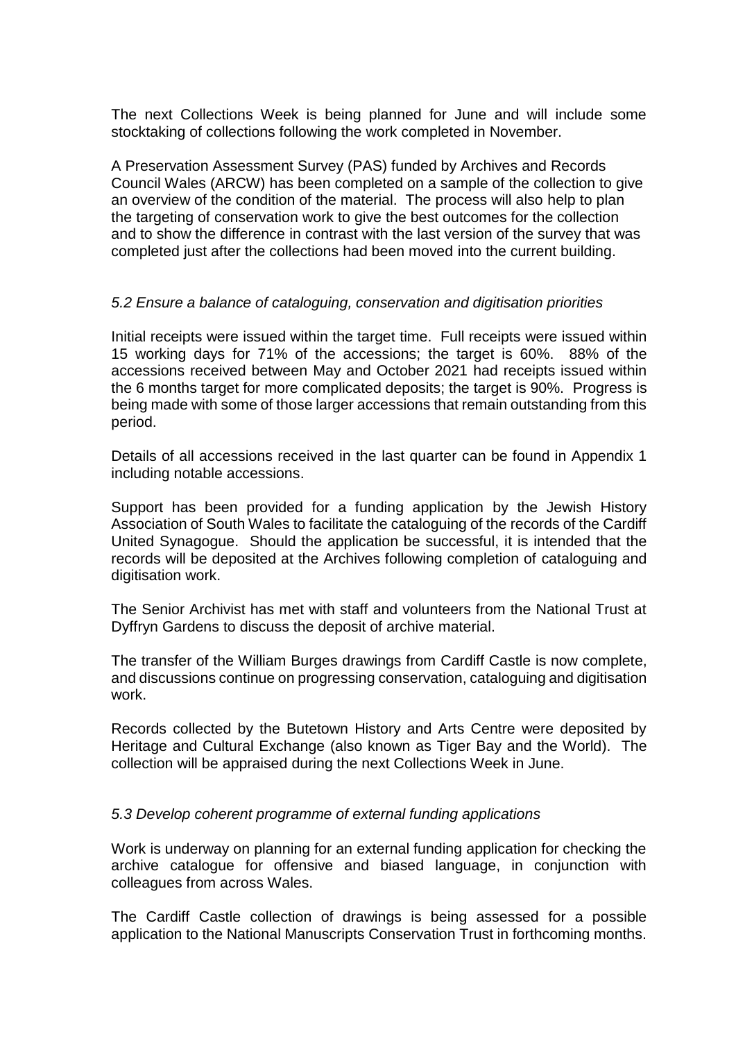The next Collections Week is being planned for June and will include some stocktaking of collections following the work completed in November.

A Preservation Assessment Survey (PAS) funded by Archives and Records Council Wales (ARCW) has been completed on a sample of the collection to give an overview of the condition of the material. The process will also help to plan the targeting of conservation work to give the best outcomes for the collection and to show the difference in contrast with the last version of the survey that was completed just after the collections had been moved into the current building.

#### *5.2 Ensure a balance of cataloguing, conservation and digitisation priorities*

Initial receipts were issued within the target time. Full receipts were issued within 15 working days for 71% of the accessions; the target is 60%. 88% of the accessions received between May and October 2021 had receipts issued within the 6 months target for more complicated deposits; the target is 90%. Progress is being made with some of those larger accessions that remain outstanding from this period.

Details of all accessions received in the last quarter can be found in Appendix 1 including notable accessions.

Support has been provided for a funding application by the Jewish History Association of South Wales to facilitate the cataloguing of the records of the Cardiff United Synagogue. Should the application be successful, it is intended that the records will be deposited at the Archives following completion of cataloguing and digitisation work.

The Senior Archivist has met with staff and volunteers from the National Trust at Dyffryn Gardens to discuss the deposit of archive material.

The transfer of the William Burges drawings from Cardiff Castle is now complete, and discussions continue on progressing conservation, cataloguing and digitisation work.

Records collected by the Butetown History and Arts Centre were deposited by Heritage and Cultural Exchange (also known as Tiger Bay and the World). The collection will be appraised during the next Collections Week in June.

#### *5.3 Develop coherent programme of external funding applications*

Work is underway on planning for an external funding application for checking the archive catalogue for offensive and biased language, in conjunction with colleagues from across Wales.

The Cardiff Castle collection of drawings is being assessed for a possible application to the National Manuscripts Conservation Trust in forthcoming months.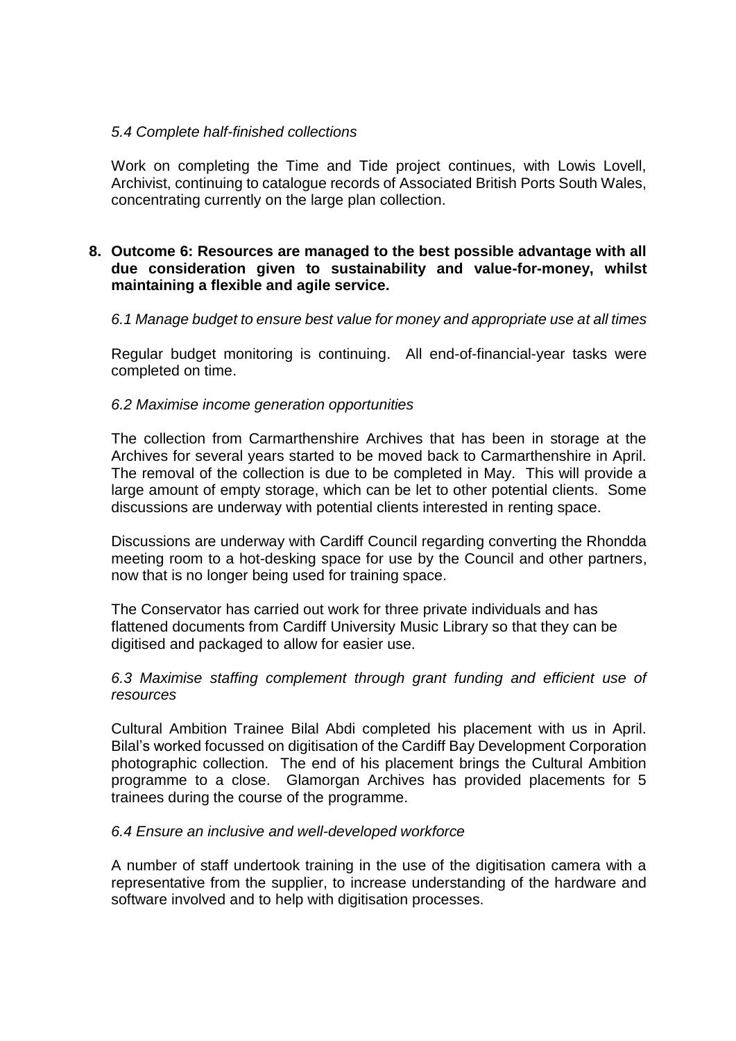#### *5.4 Complete half-finished collections*

Work on completing the Time and Tide project continues, with Lowis Lovell, Archivist, continuing to catalogue records of Associated British Ports South Wales, concentrating currently on the large plan collection.

#### **8. Outcome 6: Resources are managed to the best possible advantage with all due consideration given to sustainability and value-for-money, whilst maintaining a flexible and agile service.**

#### *6.1 Manage budget to ensure best value for money and appropriate use at all times*

Regular budget monitoring is continuing. All end-of-financial-year tasks were completed on time.

#### *6.2 Maximise income generation opportunities*

The collection from Carmarthenshire Archives that has been in storage at the Archives for several years started to be moved back to Carmarthenshire in April. The removal of the collection is due to be completed in May. This will provide a large amount of empty storage, which can be let to other potential clients. Some discussions are underway with potential clients interested in renting space.

Discussions are underway with Cardiff Council regarding converting the Rhondda meeting room to a hot-desking space for use by the Council and other partners, now that is no longer being used for training space.

The Conservator has carried out work for three private individuals and has flattened documents from Cardiff University Music Library so that they can be digitised and packaged to allow for easier use.

#### *6.3 Maximise staffing complement through grant funding and efficient use of resources*

Cultural Ambition Trainee Bilal Abdi completed his placement with us in April. Bilal's worked focussed on digitisation of the Cardiff Bay Development Corporation photographic collection. The end of his placement brings the Cultural Ambition programme to a close. Glamorgan Archives has provided placements for 5 trainees during the course of the programme.

#### *6.4 Ensure an inclusive and well-developed workforce*

A number of staff undertook training in the use of the digitisation camera with a representative from the supplier, to increase understanding of the hardware and software involved and to help with digitisation processes.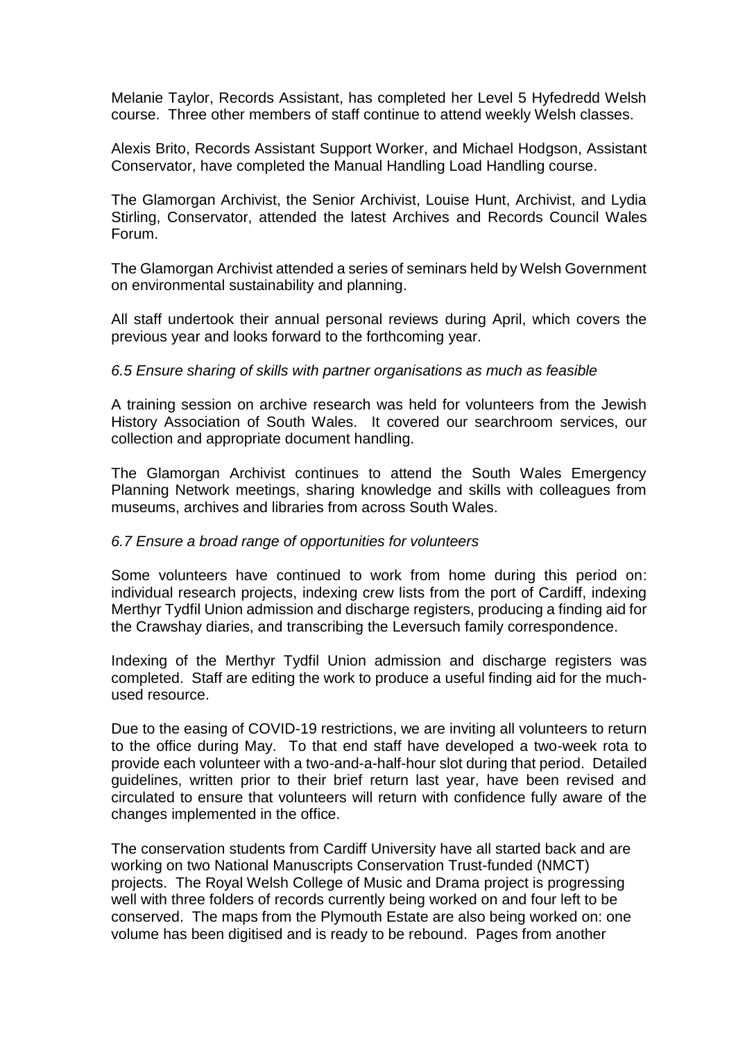Melanie Taylor, Records Assistant, has completed her Level 5 Hyfedredd Welsh course. Three other members of staff continue to attend weekly Welsh classes.

Alexis Brito, Records Assistant Support Worker, and Michael Hodgson, Assistant Conservator, have completed the Manual Handling Load Handling course.

The Glamorgan Archivist, the Senior Archivist, Louise Hunt, Archivist, and Lydia Stirling, Conservator, attended the latest Archives and Records Council Wales Forum.

The Glamorgan Archivist attended a series of seminars held by Welsh Government on environmental sustainability and planning.

All staff undertook their annual personal reviews during April, which covers the previous year and looks forward to the forthcoming year.

#### *6.5 Ensure sharing of skills with partner organisations as much as feasible*

A training session on archive research was held for volunteers from the Jewish History Association of South Wales. It covered our searchroom services, our collection and appropriate document handling.

The Glamorgan Archivist continues to attend the South Wales Emergency Planning Network meetings, sharing knowledge and skills with colleagues from museums, archives and libraries from across South Wales.

#### *6.7 Ensure a broad range of opportunities for volunteers*

Some volunteers have continued to work from home during this period on: individual research projects, indexing crew lists from the port of Cardiff, indexing Merthyr Tydfil Union admission and discharge registers, producing a finding aid for the Crawshay diaries, and transcribing the Leversuch family correspondence.

Indexing of the Merthyr Tydfil Union admission and discharge registers was completed. Staff are editing the work to produce a useful finding aid for the muchused resource.

Due to the easing of COVID-19 restrictions, we are inviting all volunteers to return to the office during May. To that end staff have developed a two-week rota to provide each volunteer with a two-and-a-half-hour slot during that period. Detailed guidelines, written prior to their brief return last year, have been revised and circulated to ensure that volunteers will return with confidence fully aware of the changes implemented in the office.

The conservation students from Cardiff University have all started back and are working on two National Manuscripts Conservation Trust-funded (NMCT) projects. The Royal Welsh College of Music and Drama project is progressing well with three folders of records currently being worked on and four left to be conserved. The maps from the Plymouth Estate are also being worked on: one volume has been digitised and is ready to be rebound. Pages from another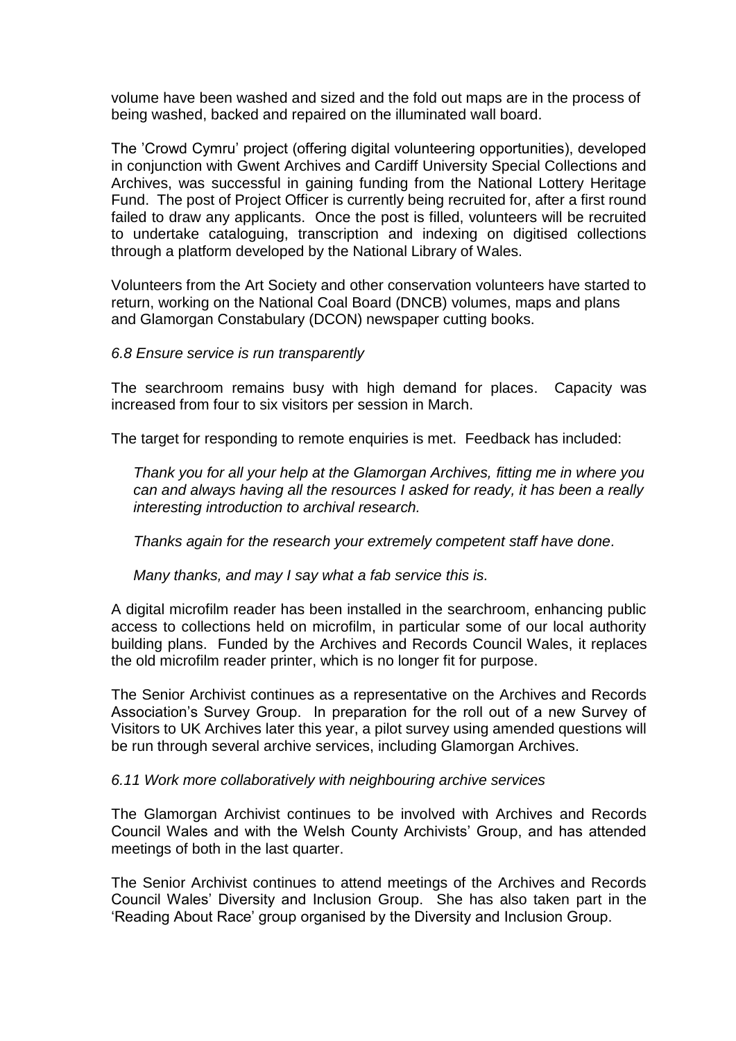volume have been washed and sized and the fold out maps are in the process of being washed, backed and repaired on the illuminated wall board.

The 'Crowd Cymru' project (offering digital volunteering opportunities), developed in conjunction with Gwent Archives and Cardiff University Special Collections and Archives, was successful in gaining funding from the National Lottery Heritage Fund. The post of Project Officer is currently being recruited for, after a first round failed to draw any applicants. Once the post is filled, volunteers will be recruited to undertake cataloguing, transcription and indexing on digitised collections through a platform developed by the National Library of Wales.

Volunteers from the Art Society and other conservation volunteers have started to return, working on the National Coal Board (DNCB) volumes, maps and plans and Glamorgan Constabulary (DCON) newspaper cutting books.

#### *6.8 Ensure service is run transparently*

The searchroom remains busy with high demand for places. Capacity was increased from four to six visitors per session in March.

The target for responding to remote enquiries is met. Feedback has included:

*Thank you for all your help at the Glamorgan Archives, fitting me in where you can and always having all the resources I asked for ready, it has been a really interesting introduction to archival research.*

*Thanks again for the research your extremely competent staff have done.*

*Many thanks, and may I say what a fab service this is.*

A digital microfilm reader has been installed in the searchroom, enhancing public access to collections held on microfilm, in particular some of our local authority building plans. Funded by the Archives and Records Council Wales, it replaces the old microfilm reader printer, which is no longer fit for purpose.

The Senior Archivist continues as a representative on the Archives and Records Association's Survey Group. In preparation for the roll out of a new Survey of Visitors to UK Archives later this year, a pilot survey using amended questions will be run through several archive services, including Glamorgan Archives.

#### *6.11 Work more collaboratively with neighbouring archive services*

The Glamorgan Archivist continues to be involved with Archives and Records Council Wales and with the Welsh County Archivists' Group, and has attended meetings of both in the last quarter.

The Senior Archivist continues to attend meetings of the Archives and Records Council Wales' Diversity and Inclusion Group. She has also taken part in the 'Reading About Race' group organised by the Diversity and Inclusion Group.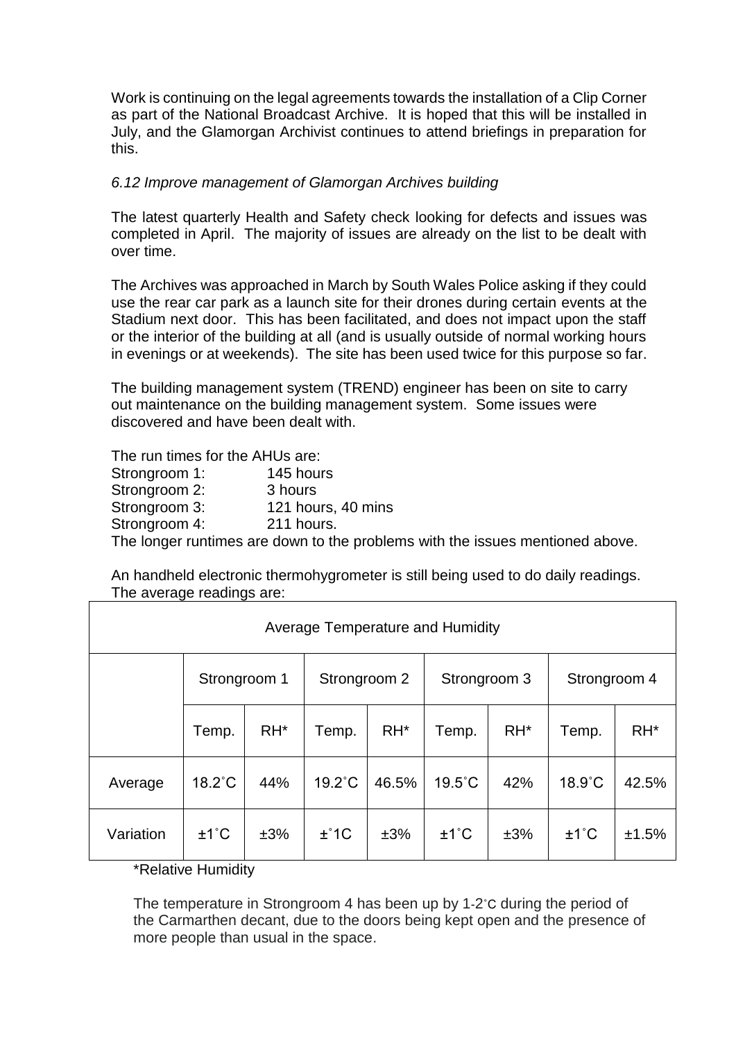Work is continuing on the legal agreements towards the installation of a Clip Corner as part of the National Broadcast Archive. It is hoped that this will be installed in July, and the Glamorgan Archivist continues to attend briefings in preparation for this.

### *6.12 Improve management of Glamorgan Archives building*

The latest quarterly Health and Safety check looking for defects and issues was completed in April. The majority of issues are already on the list to be dealt with over time.

The Archives was approached in March by South Wales Police asking if they could use the rear car park as a launch site for their drones during certain events at the Stadium next door. This has been facilitated, and does not impact upon the staff or the interior of the building at all (and is usually outside of normal working hours in evenings or at weekends). The site has been used twice for this purpose so far.

The building management system (TREND) engineer has been on site to carry out maintenance on the building management system. Some issues were discovered and have been dealt with.

The run times for the AHUs are:

| Strongroom 1: | 145 hours                                                                     |
|---------------|-------------------------------------------------------------------------------|
| Strongroom 2: | 3 hours                                                                       |
| Strongroom 3: | 121 hours, 40 mins                                                            |
| Strongroom 4: | 211 hours.                                                                    |
|               | The longer runtimes are down to the problems with the issues mentioned above. |

An handheld electronic thermohygrometer is still being used to do daily readings. The average readings are:

| Average Temperature and Humidity |                  |                 |                  |                 |                  |                 |                  |        |
|----------------------------------|------------------|-----------------|------------------|-----------------|------------------|-----------------|------------------|--------|
|                                  | Strongroom 1     |                 | Strongroom 2     |                 | Strongroom 3     |                 | Strongroom 4     |        |
|                                  | Temp.            | RH <sup>*</sup> | Temp.            | RH <sup>*</sup> | Temp.            | RH <sup>*</sup> | Temp.            | $RH^*$ |
| Average                          | $18.2^{\circ}$ C | 44%             | $19.2^{\circ}$ C | 46.5%           | $19.5^{\circ}$ C | 42%             | $18.9^{\circ}$ C | 42.5%  |
| Variation                        | $±1^{\circ}C$    | ±3%             | $\pm$ °1C        | ±3%             | $±1^{\circ}C$    | ±3%             | $±1^{\circ}C$    | ±1.5%  |

#### Relative Humidity

The temperature in Strongroom 4 has been up by 1-2˚C during the period of the Carmarthen decant, due to the doors being kept open and the presence of more people than usual in the space.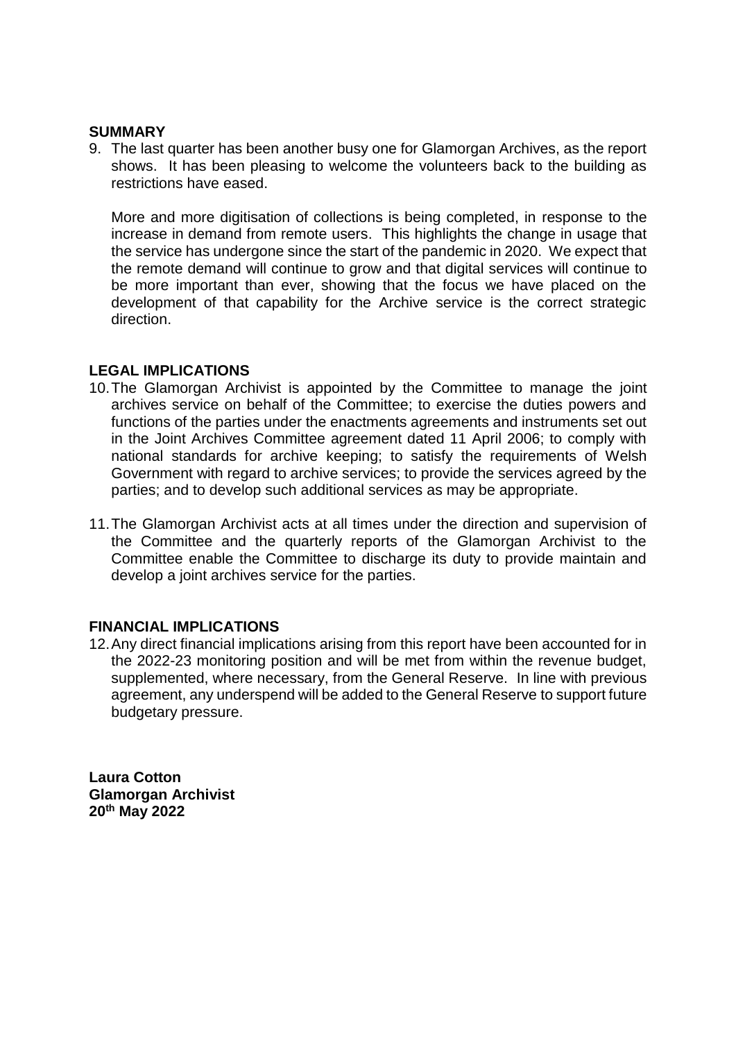#### **SUMMARY**

9. The last quarter has been another busy one for Glamorgan Archives, as the report shows. It has been pleasing to welcome the volunteers back to the building as restrictions have eased.

More and more digitisation of collections is being completed, in response to the increase in demand from remote users. This highlights the change in usage that the service has undergone since the start of the pandemic in 2020. We expect that the remote demand will continue to grow and that digital services will continue to be more important than ever, showing that the focus we have placed on the development of that capability for the Archive service is the correct strategic direction.

#### **LEGAL IMPLICATIONS**

- 10.The Glamorgan Archivist is appointed by the Committee to manage the joint archives service on behalf of the Committee; to exercise the duties powers and functions of the parties under the enactments agreements and instruments set out in the Joint Archives Committee agreement dated 11 April 2006; to comply with national standards for archive keeping; to satisfy the requirements of Welsh Government with regard to archive services; to provide the services agreed by the parties; and to develop such additional services as may be appropriate.
- 11.The Glamorgan Archivist acts at all times under the direction and supervision of the Committee and the quarterly reports of the Glamorgan Archivist to the Committee enable the Committee to discharge its duty to provide maintain and develop a joint archives service for the parties.

#### **FINANCIAL IMPLICATIONS**

12.Any direct financial implications arising from this report have been accounted for in the 2022-23 monitoring position and will be met from within the revenue budget, supplemented, where necessary, from the General Reserve. In line with previous agreement, any underspend will be added to the General Reserve to support future budgetary pressure.

**Laura Cotton Glamorgan Archivist 20th May 2022**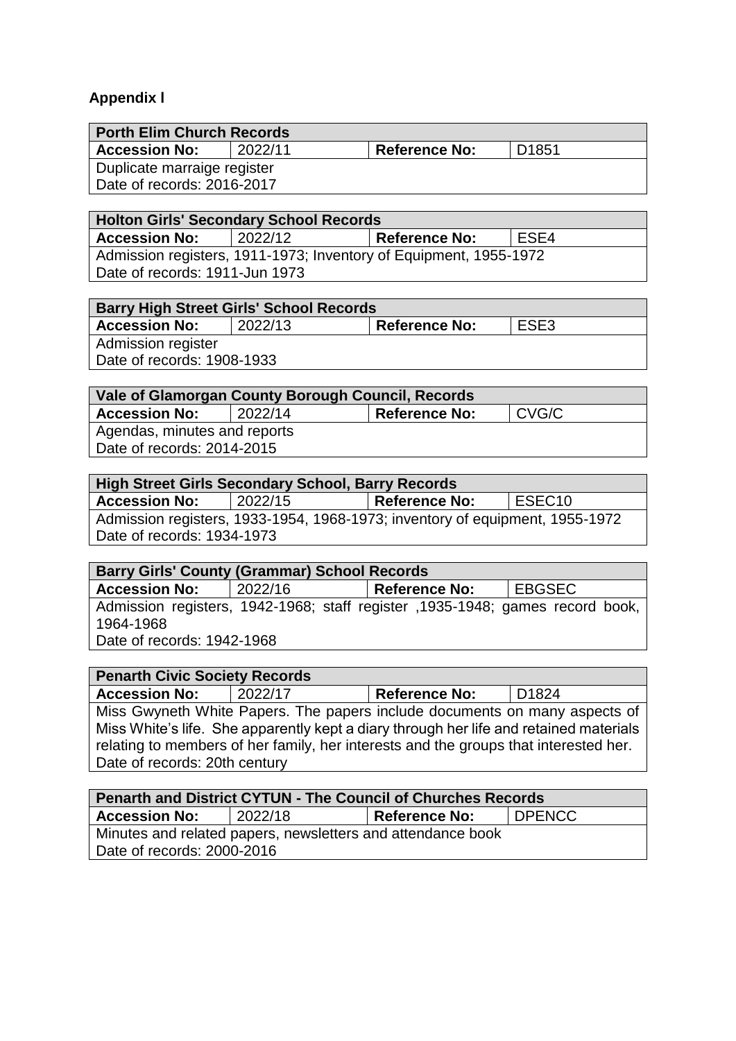# **Appendix l**

| <b>Porth Elim Church Records</b> |         |                      |                   |  |  |
|----------------------------------|---------|----------------------|-------------------|--|--|
| <b>Accession No:</b>             | 2022/11 | <b>Reference No:</b> | D <sub>1851</sub> |  |  |
| Duplicate marraige register      |         |                      |                   |  |  |
| Date of records: 2016-2017       |         |                      |                   |  |  |

#### **Holton Girls' Secondary School Records**

**Accession No:** 2022/12 **Reference No:** ESE4 Admission registers, 1911-1973; Inventory of Equipment, 1955-1972 Date of records: 1911-Jun 1973

| <b>Barry High Street Girls' School Records</b> |         |                      |                  |  |
|------------------------------------------------|---------|----------------------|------------------|--|
| <b>Accession No:</b>                           | 2022/13 | <b>Reference No:</b> | ESE <sub>3</sub> |  |
| Admission register                             |         |                      |                  |  |
| Date of records: 1908-1933                     |         |                      |                  |  |

| Vale of Glamorgan County Borough Council, Records                |  |  |  |  |
|------------------------------------------------------------------|--|--|--|--|
| 2022/14<br>CVG/C<br><b>Accession No:</b><br><b>Reference No:</b> |  |  |  |  |
| Agendas, minutes and reports                                     |  |  |  |  |
| Date of records: 2014-2015                                       |  |  |  |  |

| <b>High Street Girls Secondary School, Barry Records</b>                     |         |                      |                    |  |
|------------------------------------------------------------------------------|---------|----------------------|--------------------|--|
| <b>Accession No:</b>                                                         | 2022/15 | <b>Reference No:</b> | ESEC <sub>10</sub> |  |
| Admission registers, 1933-1954, 1968-1973; inventory of equipment, 1955-1972 |         |                      |                    |  |
| Date of records: 1934-1973                                                   |         |                      |                    |  |

| <b>Barry Girls' County (Grammar) School Records</b>                            |         |  |  |                      |          |  |
|--------------------------------------------------------------------------------|---------|--|--|----------------------|----------|--|
| <b>Accession No:</b>                                                           | 2022/16 |  |  | <b>Reference No:</b> | l EBGSEC |  |
| Admission registers, 1942-1968; staff register , 1935-1948; games record book, |         |  |  |                      |          |  |
| 1964-1968                                                                      |         |  |  |                      |          |  |
| Date of records: 1942-1968                                                     |         |  |  |                      |          |  |

# **Penarth Civic Society Records**

| <b>Accession No:</b>                                                                   | 2022/17 | <b>Reference No:</b> | $\overline{)$ D1824 |  |
|----------------------------------------------------------------------------------------|---------|----------------------|---------------------|--|
| Miss Gwyneth White Papers. The papers include documents on many aspects of             |         |                      |                     |  |
| Miss White's life. She apparently kept a diary through her life and retained materials |         |                      |                     |  |
| relating to members of her family, her interests and the groups that interested her.   |         |                      |                     |  |
| Date of records: 20th century                                                          |         |                      |                     |  |

| <b>Penarth and District CYTUN - The Council of Churches Records</b> |  |  |  |  |  |
|---------------------------------------------------------------------|--|--|--|--|--|
| 2022/18<br>I DPENCC<br>Reference No:<br><b>Accession No:</b>        |  |  |  |  |  |
| Minutes and related papers, newsletters and attendance book         |  |  |  |  |  |
| Date of records: 2000-2016                                          |  |  |  |  |  |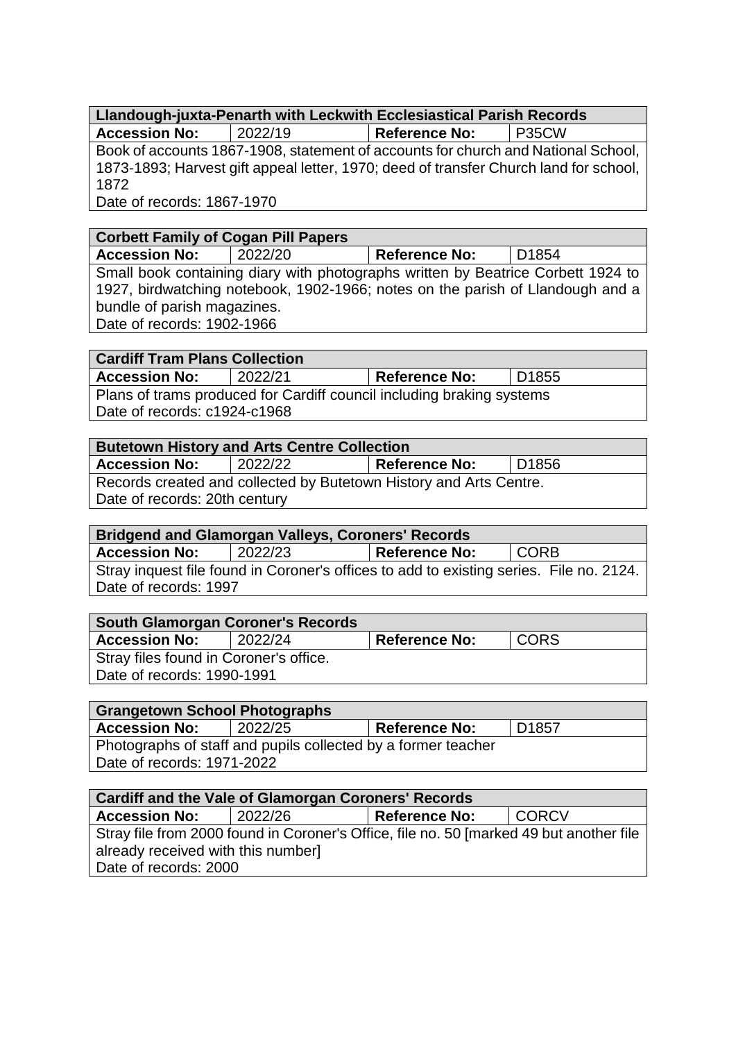| Llandough-juxta-Penarth with Leckwith Ecclesiastical Parish Records |         |                      |       |
|---------------------------------------------------------------------|---------|----------------------|-------|
| <b>Accession No:</b>                                                | 2022/19 | <b>Reference No:</b> | P35CW |

Book of accounts 1867-1908, statement of accounts for church and National School, 1873-1893; Harvest gift appeal letter, 1970; deed of transfer Church land for school, 1872

Date of records: 1867-1970

## **Corbett Family of Cogan Pill Papers**

**Accession No:** 2022/20 **Reference No:** D1854

Small book containing diary with photographs written by Beatrice Corbett 1924 to 1927, birdwatching notebook, 1902-1966; notes on the parish of Llandough and a bundle of parish magazines. Date of records: 1902-1966

| <b>Cardiff Tram Plans Collection</b>                                  |         |                      |                   |  |
|-----------------------------------------------------------------------|---------|----------------------|-------------------|--|
| <b>Accession No:</b>                                                  | 2022/21 | <b>Reference No:</b> | D <sub>1855</sub> |  |
| Plans of trams produced for Cardiff council including braking systems |         |                      |                   |  |
| Date of records: c1924-c1968                                          |         |                      |                   |  |

| <b>Butetown History and Arts Centre Collection</b>                           |  |  |  |  |
|------------------------------------------------------------------------------|--|--|--|--|
| <b>Reference No:</b><br>2022/22<br>D <sub>1856</sub><br><b>Accession No:</b> |  |  |  |  |
| Records created and collected by Butetown History and Arts Centre.           |  |  |  |  |
| Date of records: 20th century                                                |  |  |  |  |

| <b>Bridgend and Glamorgan Valleys, Coroners' Records</b>                                |  |  |  |  |
|-----------------------------------------------------------------------------------------|--|--|--|--|
| <b>CORB</b><br>2022/23<br><b>Reference No:</b><br><b>Accession No:</b>                  |  |  |  |  |
| Stray inquest file found in Coroner's offices to add to existing series. File no. 2124. |  |  |  |  |
| Date of records: 1997                                                                   |  |  |  |  |

| <b>South Glamorgan Coroner's Records</b> |         |                      |             |  |  |
|------------------------------------------|---------|----------------------|-------------|--|--|
| <b>Accession No:</b>                     | 2022/24 | <b>Reference No:</b> | <b>CORS</b> |  |  |
| Stray files found in Coroner's office.   |         |                      |             |  |  |
| Date of records: 1990-1991               |         |                      |             |  |  |
|                                          |         |                      |             |  |  |

| <b>Grangetown School Photographs</b>                                         |  |  |  |  |
|------------------------------------------------------------------------------|--|--|--|--|
| <b>Accession No:</b><br>2022/25<br>D <sub>1857</sub><br><b>Reference No:</b> |  |  |  |  |
| Photographs of staff and pupils collected by a former teacher                |  |  |  |  |
| Date of records: 1971-2022                                                   |  |  |  |  |

| <b>Cardiff and the Vale of Glamorgan Coroners' Records</b>                              |         |                      |              |  |
|-----------------------------------------------------------------------------------------|---------|----------------------|--------------|--|
| <b>Accession No:</b>                                                                    | 2022/26 | <b>Reference No:</b> | <b>CORCV</b> |  |
| Stray file from 2000 found in Coroner's Office, file no. 50 [marked 49 but another file |         |                      |              |  |
| already received with this number]                                                      |         |                      |              |  |
| Date of records: 2000                                                                   |         |                      |              |  |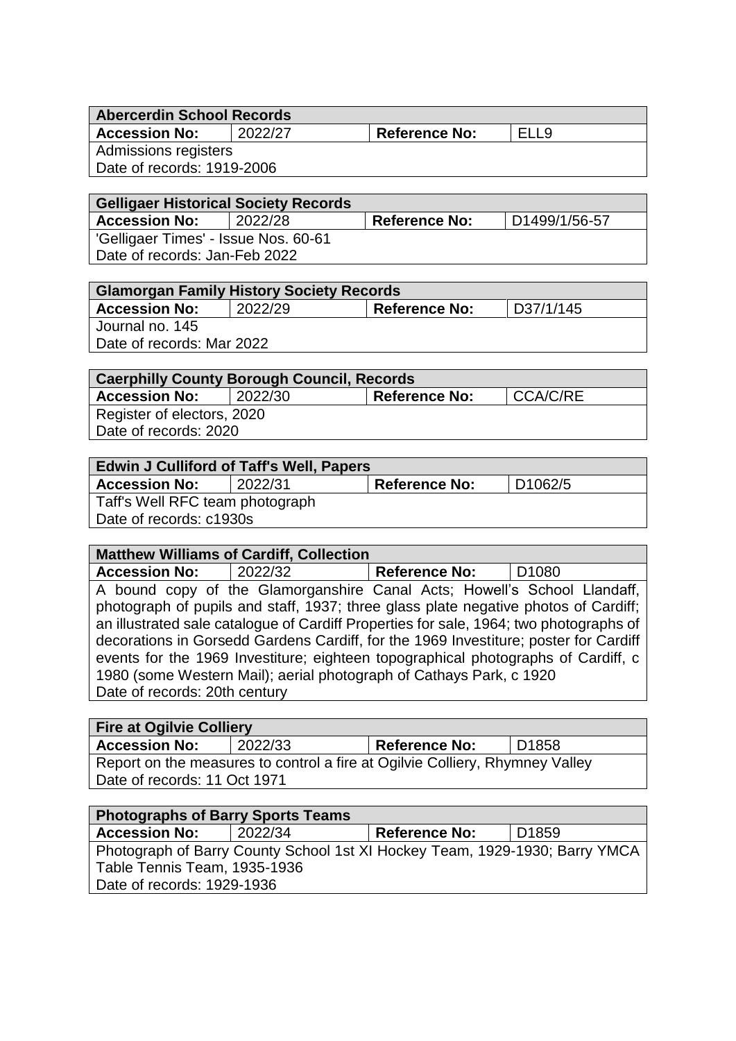| <b>Abercerdin School Records</b> |         |                      |      |  |
|----------------------------------|---------|----------------------|------|--|
| <b>Accession No:</b>             | 2022/27 | <b>Reference No:</b> | ELL9 |  |
| Admissions registers             |         |                      |      |  |
| Date of records: 1919-2006       |         |                      |      |  |

| <b>Gelligaer Historical Society Records</b> |         |                      |               |  |
|---------------------------------------------|---------|----------------------|---------------|--|
| <b>Accession No:</b>                        | 2022/28 | <b>Reference No:</b> | D1499/1/56-57 |  |
| 'Gelligaer Times' - Issue Nos. 60-61        |         |                      |               |  |
| Date of records: Jan-Feb 2022               |         |                      |               |  |

| <b>Glamorgan Family History Society Records</b> |         |                      |           |  |
|-------------------------------------------------|---------|----------------------|-----------|--|
| <b>Accession No:</b>                            | 2022/29 | <b>Reference No:</b> | D37/1/145 |  |
| Journal no. 145                                 |         |                      |           |  |
| Date of records: Mar 2022                       |         |                      |           |  |

| <b>Caerphilly County Borough Council, Records</b>                   |  |  |  |  |
|---------------------------------------------------------------------|--|--|--|--|
| CCA/C/RE<br>2022/30<br><b>Accession No:</b><br><b>Reference No:</b> |  |  |  |  |
| Register of electors, 2020                                          |  |  |  |  |
| Date of records: 2020                                               |  |  |  |  |

| <b>Edwin J Culliford of Taff's Well, Papers</b> |         |                      |                      |  |
|-------------------------------------------------|---------|----------------------|----------------------|--|
| <b>Accession No:</b>                            | 2022/31 | <b>Reference No:</b> | D <sub>1062</sub> /5 |  |
| Taff's Well RFC team photograph                 |         |                      |                      |  |
| Date of records: c1930s                         |         |                      |                      |  |

| <b>Matthew Williams of Cardiff, Collection</b>                                         |         |                                                                                      |                   |  |
|----------------------------------------------------------------------------------------|---------|--------------------------------------------------------------------------------------|-------------------|--|
| <b>Accession No:</b>                                                                   | 2022/32 | <b>Reference No:</b>                                                                 | D <sub>1080</sub> |  |
|                                                                                        |         | A bound copy of the Glamorganshire Canal Acts; Howell's School Llandaff,             |                   |  |
|                                                                                        |         | photograph of pupils and staff, 1937; three glass plate negative photos of Cardiff;  |                   |  |
| an illustrated sale catalogue of Cardiff Properties for sale, 1964; two photographs of |         |                                                                                      |                   |  |
|                                                                                        |         | decorations in Gorsedd Gardens Cardiff, for the 1969 Investiture; poster for Cardiff |                   |  |
|                                                                                        |         | events for the 1969 Investiture; eighteen topographical photographs of Cardiff, c    |                   |  |
|                                                                                        |         | 1980 (some Western Mail); aerial photograph of Cathays Park, c 1920                  |                   |  |
| Date of records: 20th century                                                          |         |                                                                                      |                   |  |

| <b>Fire at Ogilvie Colliery</b>                                                                              |  |  |  |  |  |
|--------------------------------------------------------------------------------------------------------------|--|--|--|--|--|
| 2022/33<br><b>Accession No:</b><br>D <sub>1858</sub><br><b>Reference No:</b>                                 |  |  |  |  |  |
| Report on the measures to control a fire at Ogilvie Colliery, Rhymney Valley<br>Date of records: 11 Oct 1971 |  |  |  |  |  |
|                                                                                                              |  |  |  |  |  |

| <b>Photographs of Barry Sports Teams</b>                                    |         |                      |                   |  |
|-----------------------------------------------------------------------------|---------|----------------------|-------------------|--|
| <b>Accession No:</b>                                                        | 2022/34 | <b>Reference No:</b> | D <sub>1859</sub> |  |
| Photograph of Barry County School 1st XI Hockey Team, 1929-1930; Barry YMCA |         |                      |                   |  |
| Table Tennis Team, 1935-1936                                                |         |                      |                   |  |
| Date of records: 1929-1936                                                  |         |                      |                   |  |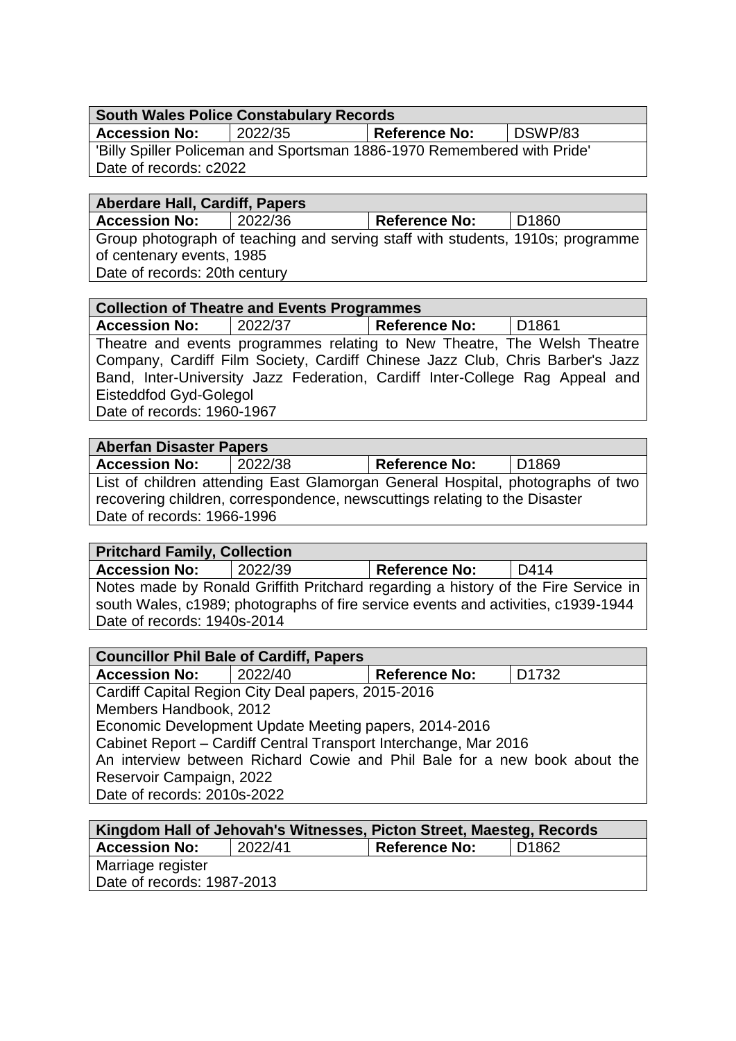**Accession No:** 2022/35 **Reference No:** DSWP/83

'Billy Spiller Policeman and Sportsman 1886-1970 Remembered with Pride' Date of records: c2022

# **Aberdare Hall, Cardiff, Papers**

**Accession No:** 2022/36 **Reference No:** D1860

Group photograph of teaching and serving staff with students, 1910s; programme of centenary events, 1985 Date of records: 20th century

| <b>Accession No:</b>                                                         | 2022/37 | <b>Reference No:</b>                                                          | D1861 |  |
|------------------------------------------------------------------------------|---------|-------------------------------------------------------------------------------|-------|--|
|                                                                              |         | Theatre and events programmes relating to New Theatre, The Welsh Theatre      |       |  |
|                                                                              |         | Company, Cardiff Film Society, Cardiff Chinese Jazz Club, Chris Barber's Jazz |       |  |
| Band, Inter-University Jazz Federation, Cardiff Inter-College Rag Appeal and |         |                                                                               |       |  |
| Eisteddfod Gyd-Golegol                                                       |         |                                                                               |       |  |
| Date of records: 1960-1967                                                   |         |                                                                               |       |  |

#### **Aberfan Disaster Papers Accession No:** 2022/38 **Reference No:** D1869 List of children attending East Glamorgan General Hospital, photographs of two recovering children, correspondence, newscuttings relating to the Disaster Date of records: 1966-1996

#### **Pritchard Family, Collection**

**Accession No:** 2022/39 **Reference No:** D414 Notes made by Ronald Griffith Pritchard regarding a history of the Fire Service in south Wales, c1989; photographs of fire service events and activities, c1939-1944 Date of records: 1940s-2014

| <b>Councillor Phil Bale of Cardiff, Papers</b>                            |         |  |                      |       |
|---------------------------------------------------------------------------|---------|--|----------------------|-------|
| <b>Accession No:</b>                                                      | 2022/40 |  | <b>Reference No:</b> | D1732 |
| Cardiff Capital Region City Deal papers, 2015-2016                        |         |  |                      |       |
| Members Handbook, 2012                                                    |         |  |                      |       |
| Economic Development Update Meeting papers, 2014-2016                     |         |  |                      |       |
| Cabinet Report - Cardiff Central Transport Interchange, Mar 2016          |         |  |                      |       |
| An interview between Richard Cowie and Phil Bale for a new book about the |         |  |                      |       |
| Reservoir Campaign, 2022                                                  |         |  |                      |       |
| Date of records: 2010s-2022                                               |         |  |                      |       |

| Kingdom Hall of Jehovah's Witnesses, Picton Street, Maesteg, Records         |  |  |  |  |  |
|------------------------------------------------------------------------------|--|--|--|--|--|
| 2022/41<br><b>Accession No:</b><br>D <sub>1862</sub><br><b>Reference No:</b> |  |  |  |  |  |
| Marriage register                                                            |  |  |  |  |  |
| Date of records: 1987-2013                                                   |  |  |  |  |  |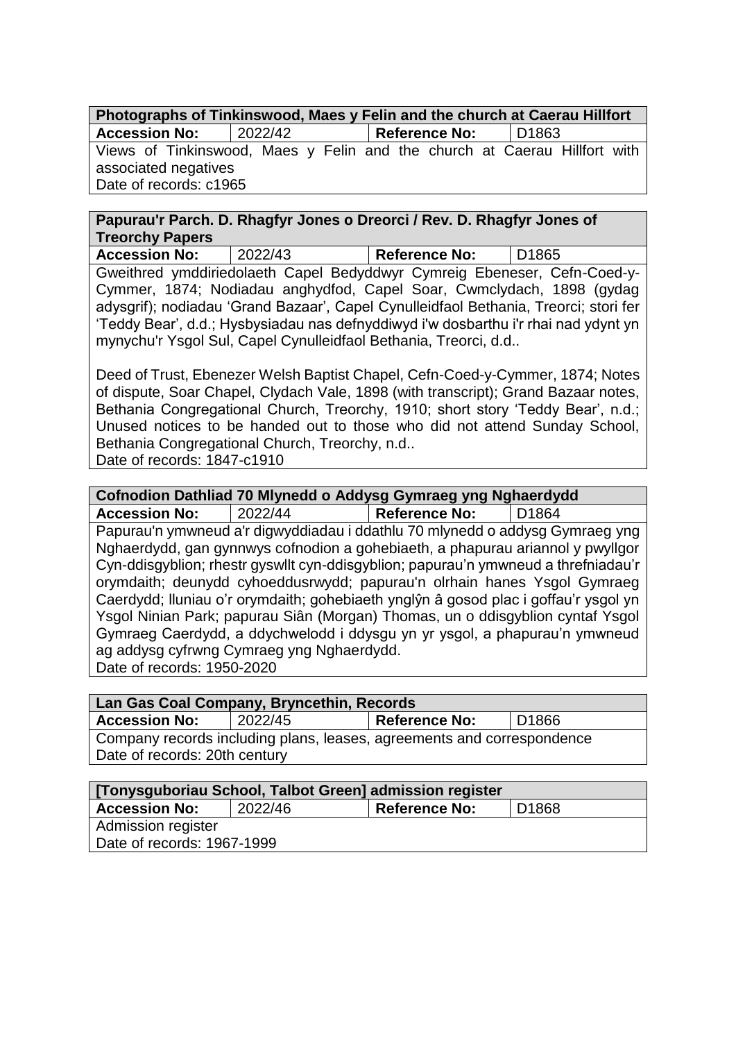|                      |         | Photographs of Tinkinswood, Maes y Felin and the church at Caerau Hillfort |                     |
|----------------------|---------|----------------------------------------------------------------------------|---------------------|
| <b>Accession No:</b> | 2022/42 | Reference No:                                                              | $\overline{)$ D1863 |

Views of Tinkinswood, Maes y Felin and the church at Caerau Hillfort with associated negatives Date of records: c1965

**Papurau'r Parch. D. Rhagfyr Jones o Dreorci / Rev. D. Rhagfyr Jones of Treorchy Papers**

**Accession No:** 2022/43 **Reference No:** D1865 Gweithred ymddiriedolaeth Capel Bedyddwyr Cymreig Ebeneser, Cefn-Coed-y-Cymmer, 1874; Nodiadau anghydfod, Capel Soar, Cwmclydach, 1898 (gydag adysgrif); nodiadau 'Grand Bazaar', Capel Cynulleidfaol Bethania, Treorci; stori fer 'Teddy Bear', d.d.; Hysbysiadau nas defnyddiwyd i'w dosbarthu i'r rhai nad ydynt yn mynychu'r Ysgol Sul, Capel Cynulleidfaol Bethania, Treorci, d.d..

Deed of Trust, Ebenezer Welsh Baptist Chapel, Cefn-Coed-y-Cymmer, 1874; Notes of dispute, Soar Chapel, Clydach Vale, 1898 (with transcript); Grand Bazaar notes, Bethania Congregational Church, Treorchy, 1910; short story 'Teddy Bear', n.d.; Unused notices to be handed out to those who did not attend Sunday School, Bethania Congregational Church, Treorchy, n.d.. Date of records: 1847-c1910

# **Cofnodion Dathliad 70 Mlynedd o Addysg Gymraeg yng Nghaerdydd**

**Accession No:** 2022/44 **Reference No:** D1864

Papurau'n ymwneud a'r digwyddiadau i ddathlu 70 mlynedd o addysg Gymraeg yng Nghaerdydd, gan gynnwys cofnodion a gohebiaeth, a phapurau ariannol y pwyllgor Cyn-ddisgyblion; rhestr gyswllt cyn-ddisgyblion; papurau'n ymwneud a threfniadau'r orymdaith; deunydd cyhoeddusrwydd; papurau'n olrhain hanes Ysgol Gymraeg Caerdydd; lluniau o'r orymdaith; gohebiaeth ynglŷn â gosod plac i goffau'r ysgol yn Ysgol Ninian Park; papurau Siân (Morgan) Thomas, un o ddisgyblion cyntaf Ysgol Gymraeg Caerdydd, a ddychwelodd i ddysgu yn yr ysgol, a phapurau'n ymwneud ag addysg cyfrwng Cymraeg yng Nghaerdydd. Date of records: 1950-2020

| Lan Gas Coal Company, Bryncethin, Records                              |  |  |  |  |  |
|------------------------------------------------------------------------|--|--|--|--|--|
| 2022/45<br><b>Reference No:</b><br><b>Accession No:</b><br>D1866       |  |  |  |  |  |
| Company records including plans, leases, agreements and correspondence |  |  |  |  |  |
| Date of records: 20th century                                          |  |  |  |  |  |
|                                                                        |  |  |  |  |  |

| [Tonysguboriau School, Talbot Green] admission register                      |  |  |  |  |
|------------------------------------------------------------------------------|--|--|--|--|
| 2022/46<br>D <sub>1868</sub><br><b>Accession No:</b><br><b>Reference No:</b> |  |  |  |  |
| <b>Admission register</b>                                                    |  |  |  |  |
| Date of records: 1967-1999                                                   |  |  |  |  |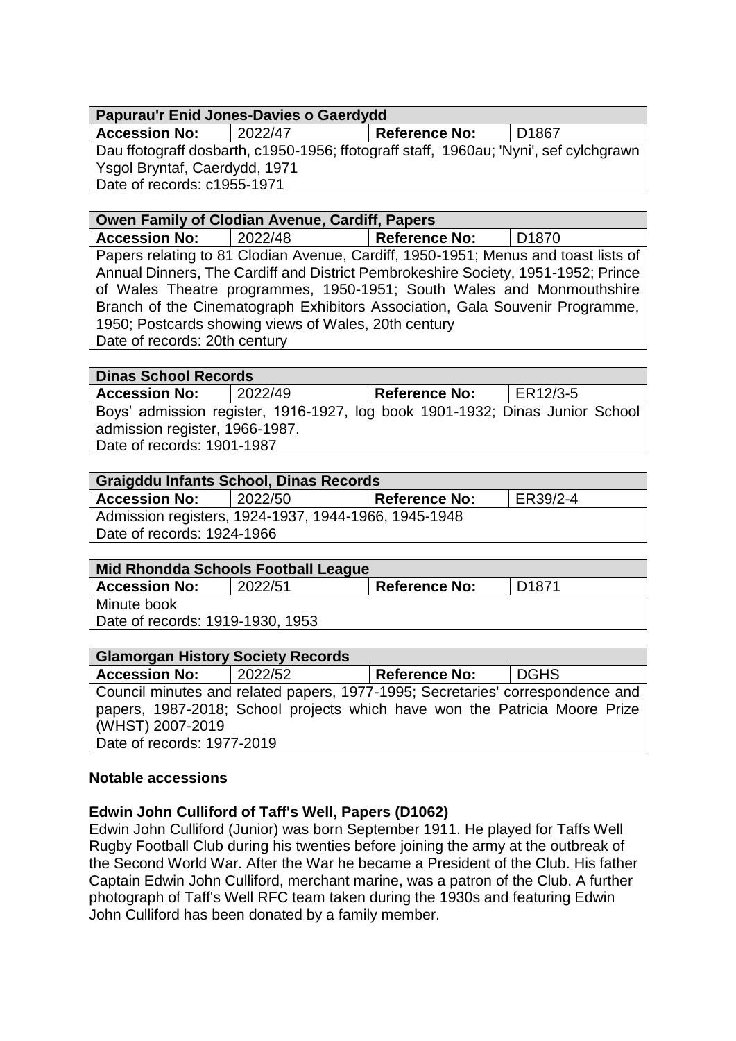| <b>Papurau'r Enid Jones-Davies o Gaerdydd</b> |                                                                                       |                      |       |  |  |
|-----------------------------------------------|---------------------------------------------------------------------------------------|----------------------|-------|--|--|
| <b>Accession No:</b>                          | 2022/47                                                                               | <b>Reference No:</b> | D1867 |  |  |
|                                               | Dau ffotograff dosbarth, c1950-1956; ffotograff staff, 1960au; 'Nyni', sef cylchgrawn |                      |       |  |  |
| Ysgol Bryntaf, Caerdydd, 1971                 |                                                                                       |                      |       |  |  |
| Date of records: c1955-1971                   |                                                                                       |                      |       |  |  |
|                                               |                                                                                       |                      |       |  |  |

#### **Owen Family of Clodian Avenue, Cardiff, Papers**

**Accession No:** 2022/48 **Reference No:** D1870

Papers relating to 81 Clodian Avenue, Cardiff, 1950-1951; Menus and toast lists of Annual Dinners, The Cardiff and District Pembrokeshire Society, 1951-1952; Prince of Wales Theatre programmes, 1950-1951; South Wales and Monmouthshire Branch of the Cinematograph Exhibitors Association, Gala Souvenir Programme, 1950; Postcards showing views of Wales, 20th century Date of records: 20th century

#### **Dinas School Records**

**Accession No:** 2022/49 **Reference No:** ER12/3-5 Boys' admission register, 1916-1927, log book 1901-1932; Dinas Junior School admission register, 1966-1987. Date of records: 1901-1987

| <b>Graigddu Infants School, Dinas Records</b>                |  |  |  |  |
|--------------------------------------------------------------|--|--|--|--|
| ER39/2-4<br>2022/50<br><b>Accession No:</b><br>Reference No: |  |  |  |  |
| Admission registers, 1924-1937, 1944-1966, 1945-1948         |  |  |  |  |
| Date of records: 1924-1966                                   |  |  |  |  |

| <b>Mid Rhondda Schools Football League</b>                                   |  |  |  |  |
|------------------------------------------------------------------------------|--|--|--|--|
| 2022/51<br>D <sub>1871</sub><br><b>Accession No:</b><br><b>Reference No:</b> |  |  |  |  |
| Minute book                                                                  |  |  |  |  |
| Date of records: 1919-1930, 1953                                             |  |  |  |  |

| <b>Glamorgan History Society Records</b>                                       |                    |                                                                            |             |
|--------------------------------------------------------------------------------|--------------------|----------------------------------------------------------------------------|-------------|
| <b>Accession No:</b>                                                           | $\frac{12022}{52}$ | <b>Reference No:</b>                                                       | <b>DGHS</b> |
| Council minutes and related papers, 1977-1995; Secretaries' correspondence and |                    |                                                                            |             |
|                                                                                |                    | papers, 1987-2018; School projects which have won the Patricia Moore Prize |             |
| (WHST) 2007-2019                                                               |                    |                                                                            |             |
| Date of records: 1977-2019                                                     |                    |                                                                            |             |

#### **Notable accessions**

#### **Edwin John Culliford of Taff's Well, Papers (D1062)**

Edwin John Culliford (Junior) was born September 1911. He played for Taffs Well Rugby Football Club during his twenties before joining the army at the outbreak of the Second World War. After the War he became a President of the Club. His father Captain Edwin John Culliford, merchant marine, was a patron of the Club. A further photograph of Taff's Well RFC team taken during the 1930s and featuring Edwin John Culliford has been donated by a family member.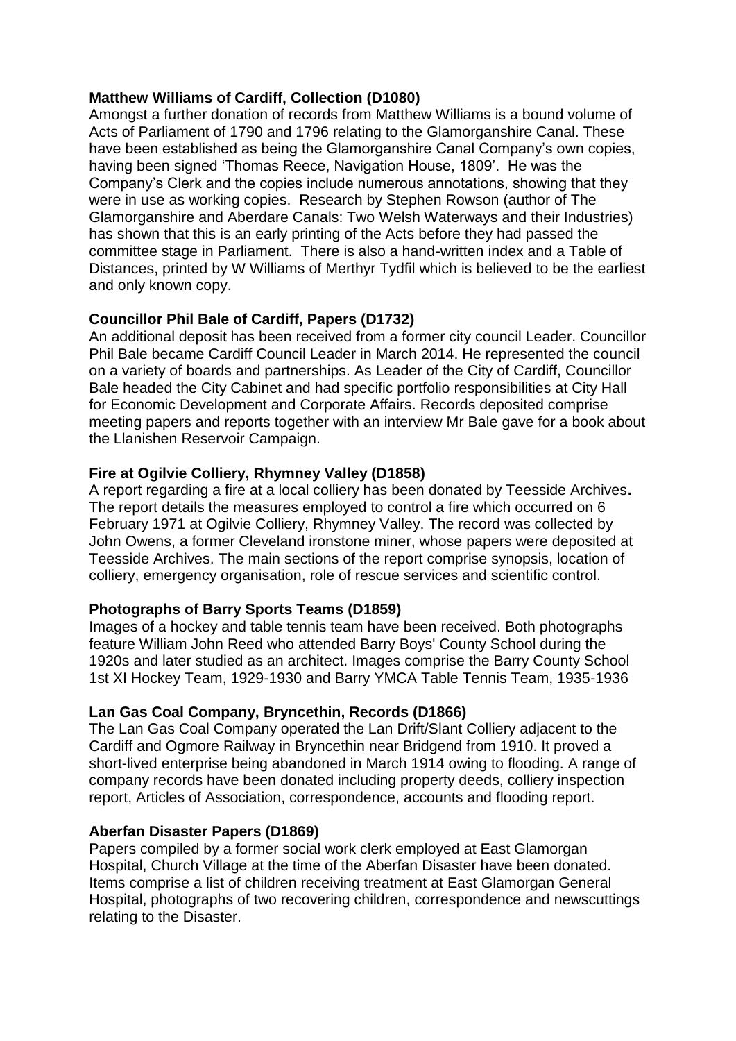## **Matthew Williams of Cardiff, Collection (D1080)**

Amongst a further donation of records from Matthew Williams is a bound volume of Acts of Parliament of 1790 and 1796 relating to the Glamorganshire Canal. These have been established as being the Glamorganshire Canal Company's own copies, having been signed 'Thomas Reece, Navigation House, 1809'. He was the Company's Clerk and the copies include numerous annotations, showing that they were in use as working copies. Research by Stephen Rowson (author of The Glamorganshire and Aberdare Canals: Two Welsh Waterways and their Industries) has shown that this is an early printing of the Acts before they had passed the committee stage in Parliament. There is also a hand-written index and a Table of Distances, printed by W Williams of Merthyr Tydfil which is believed to be the earliest and only known copy.

# **Councillor Phil Bale of Cardiff, Papers (D1732)**

An additional deposit has been received from a former city council Leader. Councillor Phil Bale became Cardiff Council Leader in March 2014. He represented the council on a variety of boards and partnerships. As Leader of the City of Cardiff, Councillor Bale headed the City Cabinet and had specific portfolio responsibilities at City Hall for Economic Development and Corporate Affairs. Records deposited comprise meeting papers and reports together with an interview Mr Bale gave for a book about the Llanishen Reservoir Campaign.

## **Fire at Ogilvie Colliery, Rhymney Valley (D1858)**

A report regarding a fire at a local colliery has been donated by Teesside Archives**.**  The report details the measures employed to control a fire which occurred on 6 February 1971 at Ogilvie Colliery, Rhymney Valley. The record was collected by John Owens, a former Cleveland ironstone miner, whose papers were deposited at Teesside Archives. The main sections of the report comprise synopsis, location of colliery, emergency organisation, role of rescue services and scientific control.

#### **Photographs of Barry Sports Teams (D1859)**

Images of a hockey and table tennis team have been received. Both photographs feature William John Reed who attended Barry Boys' County School during the 1920s and later studied as an architect. Images comprise the Barry County School 1st XI Hockey Team, 1929-1930 and Barry YMCA Table Tennis Team, 1935-1936

#### **Lan Gas Coal Company, Bryncethin, Records (D1866)**

The Lan Gas Coal Company operated the Lan Drift/Slant Colliery adjacent to the Cardiff and Ogmore Railway in Bryncethin near Bridgend from 1910. It proved a short-lived enterprise being abandoned in March 1914 owing to flooding. A range of company records have been donated including property deeds, colliery inspection report, Articles of Association, correspondence, accounts and flooding report.

#### **Aberfan Disaster Papers (D1869)**

Papers compiled by a former social work clerk employed at East Glamorgan Hospital, Church Village at the time of the Aberfan Disaster have been donated. Items comprise a list of children receiving treatment at East Glamorgan General Hospital, photographs of two recovering children, correspondence and newscuttings relating to the Disaster.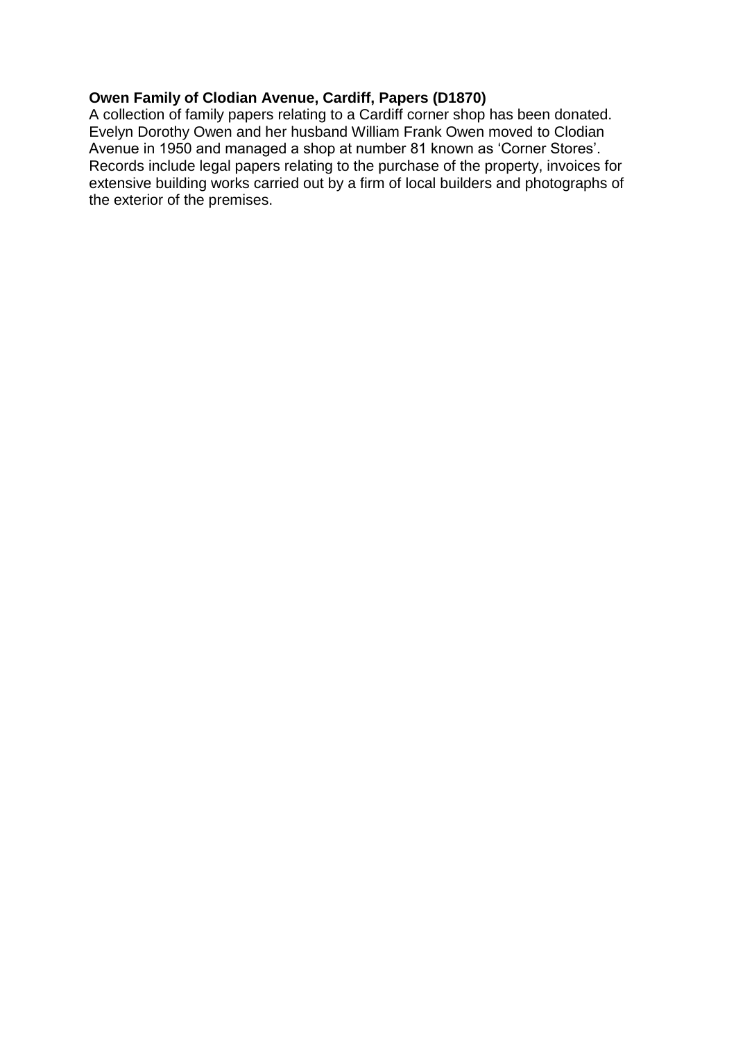# **Owen Family of Clodian Avenue, Cardiff, Papers (D1870)**

A collection of family papers relating to a Cardiff corner shop has been donated. Evelyn Dorothy Owen and her husband William Frank Owen moved to Clodian Avenue in 1950 and managed a shop at number 81 known as 'Corner Stores'. Records include legal papers relating to the purchase of the property, invoices for extensive building works carried out by a firm of local builders and photographs of the exterior of the premises.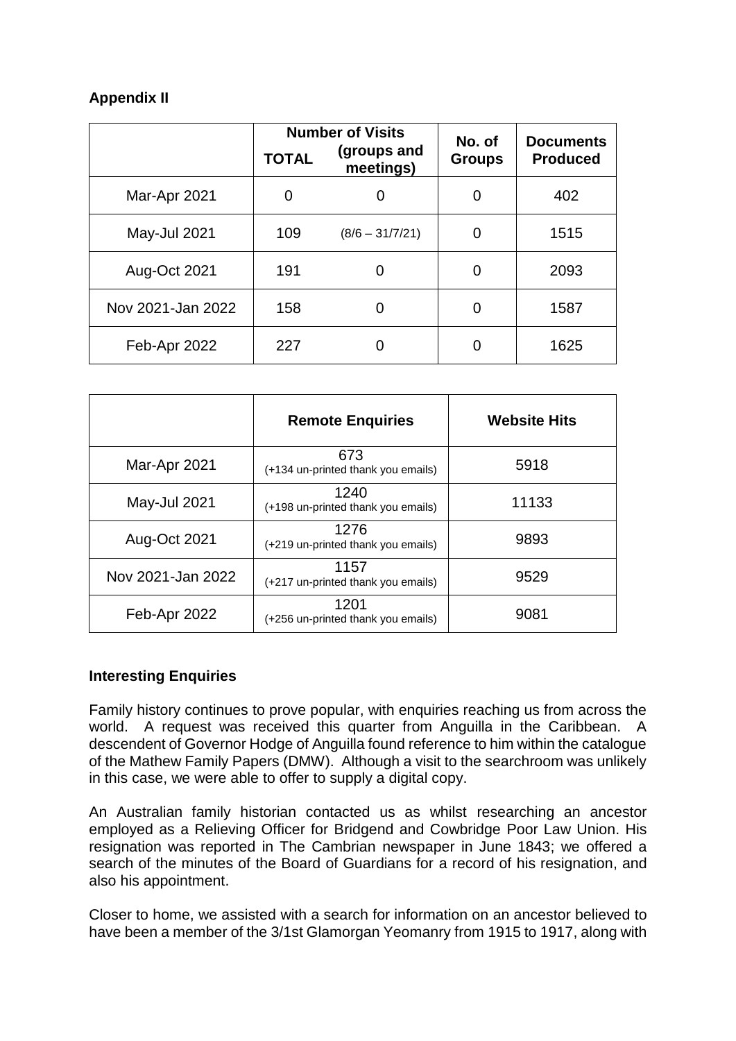# **Appendix II**

|                   |              | <b>Number of Visits</b>  | No. of        | <b>Documents</b> |
|-------------------|--------------|--------------------------|---------------|------------------|
|                   | <b>TOTAL</b> | (groups and<br>meetings) | <b>Groups</b> | <b>Produced</b>  |
| Mar-Apr 2021      | 0            |                          | 0             | 402              |
| May-Jul 2021      | 109          | $(8/6 - 31/7/21)$        |               | 1515             |
| Aug-Oct 2021      | 191          |                          | 0             | 2093             |
| Nov 2021-Jan 2022 | 158          |                          | 0             | 1587             |
| Feb-Apr 2022      | 227          |                          |               | 1625             |

|                   | <b>Remote Enquiries</b>                    | <b>Website Hits</b> |
|-------------------|--------------------------------------------|---------------------|
| Mar-Apr 2021      | 673<br>(+134 un-printed thank you emails)  | 5918                |
| May-Jul 2021      | 1240<br>(+198 un-printed thank you emails) | 11133               |
| Aug-Oct 2021      | 1276<br>(+219 un-printed thank you emails) | 9893                |
| Nov 2021-Jan 2022 | 1157<br>(+217 un-printed thank you emails) | 9529                |
| Feb-Apr 2022      | 1201<br>(+256 un-printed thank you emails) | 9081                |

# **Interesting Enquiries**

Family history continues to prove popular, with enquiries reaching us from across the world. A request was received this quarter from Anguilla in the Caribbean. A descendent of Governor Hodge of Anguilla found reference to him within the catalogue of the Mathew Family Papers (DMW). Although a visit to the searchroom was unlikely in this case, we were able to offer to supply a digital copy.

An Australian family historian contacted us as whilst researching an ancestor employed as a Relieving Officer for Bridgend and Cowbridge Poor Law Union. His resignation was reported in The Cambrian newspaper in June 1843; we offered a search of the minutes of the Board of Guardians for a record of his resignation, and also his appointment.

Closer to home, we assisted with a search for information on an ancestor believed to have been a member of the 3/1st Glamorgan Yeomanry from 1915 to 1917, along with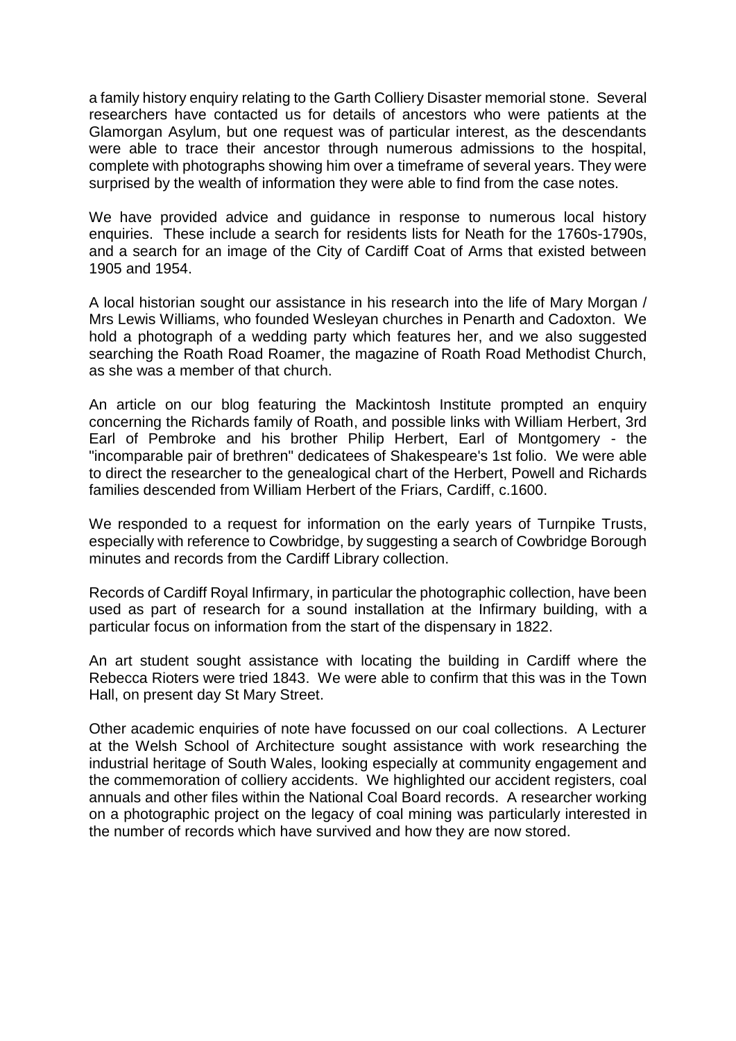a family history enquiry relating to the Garth Colliery Disaster memorial stone. Several researchers have contacted us for details of ancestors who were patients at the Glamorgan Asylum, but one request was of particular interest, as the descendants were able to trace their ancestor through numerous admissions to the hospital, complete with photographs showing him over a timeframe of several years. They were surprised by the wealth of information they were able to find from the case notes.

We have provided advice and guidance in response to numerous local history enquiries. These include a search for residents lists for Neath for the 1760s-1790s, and a search for an image of the City of Cardiff Coat of Arms that existed between 1905 and 1954.

A local historian sought our assistance in his research into the life of Mary Morgan / Mrs Lewis Williams, who founded Wesleyan churches in Penarth and Cadoxton. We hold a photograph of a wedding party which features her, and we also suggested searching the Roath Road Roamer, the magazine of Roath Road Methodist Church, as she was a member of that church.

An article on our blog featuring the Mackintosh Institute prompted an enquiry concerning the Richards family of Roath, and possible links with William Herbert, 3rd Earl of Pembroke and his brother Philip Herbert, Earl of Montgomery - the "incomparable pair of brethren" dedicatees of Shakespeare's 1st folio. We were able to direct the researcher to the genealogical chart of the Herbert, Powell and Richards families descended from William Herbert of the Friars, Cardiff, c.1600.

We responded to a request for information on the early years of Turnpike Trusts, especially with reference to Cowbridge, by suggesting a search of Cowbridge Borough minutes and records from the Cardiff Library collection.

Records of Cardiff Royal Infirmary, in particular the photographic collection, have been used as part of research for a sound installation at the Infirmary building, with a particular focus on information from the start of the dispensary in 1822.

An art student sought assistance with locating the building in Cardiff where the Rebecca Rioters were tried 1843. We were able to confirm that this was in the Town Hall, on present day St Mary Street.

Other academic enquiries of note have focussed on our coal collections. A Lecturer at the Welsh School of Architecture sought assistance with work researching the industrial heritage of South Wales, looking especially at community engagement and the commemoration of colliery accidents. We highlighted our accident registers, coal annuals and other files within the National Coal Board records. A researcher working on a photographic project on the legacy of coal mining was particularly interested in the number of records which have survived and how they are now stored.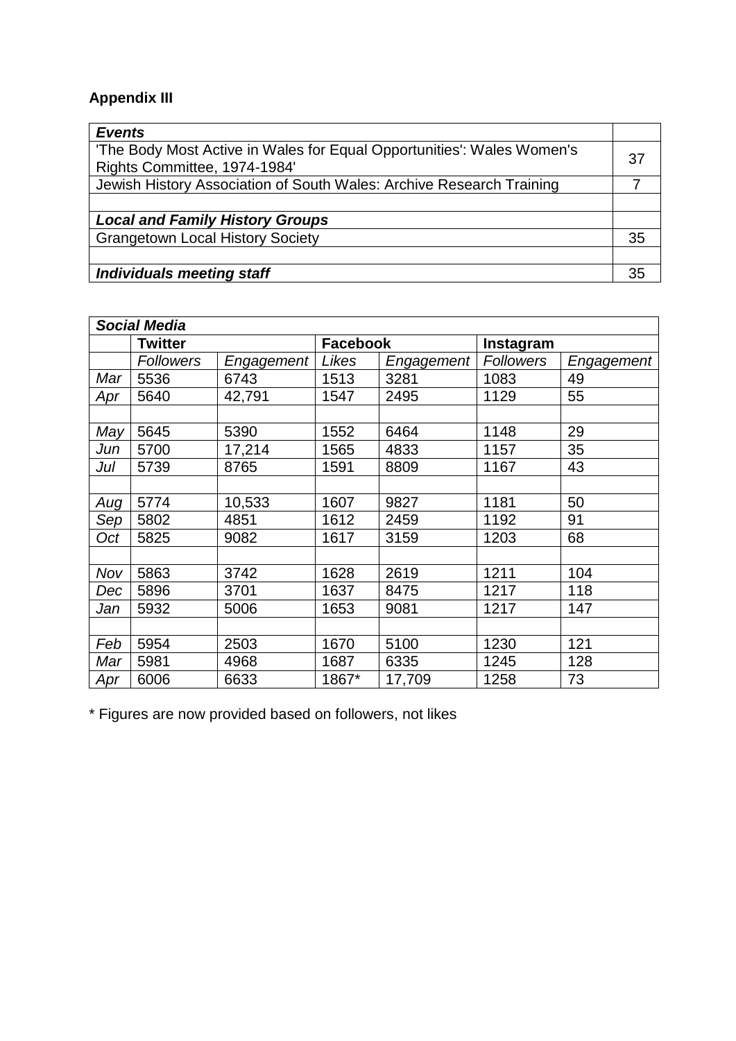# **Appendix III**

| <b>Events</b>                                                                                          |    |  |
|--------------------------------------------------------------------------------------------------------|----|--|
| 'The Body Most Active in Wales for Equal Opportunities': Wales Women's<br>Rights Committee, 1974-1984' |    |  |
| Jewish History Association of South Wales: Archive Research Training                                   |    |  |
|                                                                                                        |    |  |
| <b>Local and Family History Groups</b>                                                                 |    |  |
| <b>Grangetown Local History Society</b>                                                                | 35 |  |
|                                                                                                        |    |  |
| Individuals meeting staff                                                                              | 35 |  |

| <b>Social Media</b> |                  |            |                 |            |                  |            |
|---------------------|------------------|------------|-----------------|------------|------------------|------------|
|                     | Twitter          |            | <b>Facebook</b> |            | Instagram        |            |
|                     | <b>Followers</b> | Engagement | Likes           | Engagement | <b>Followers</b> | Engagement |
| Mar                 | 5536             | 6743       | 1513            | 3281       | 1083             | 49         |
| Apr                 | 5640             | 42,791     | 1547            | 2495       | 1129             | 55         |
|                     |                  |            |                 |            |                  |            |
| May                 | 5645             | 5390       | 1552            | 6464       | 1148             | 29         |
| Jun                 | 5700             | 17,214     | 1565            | 4833       | 1157             | 35         |
| Jul                 | 5739             | 8765       | 1591            | 8809       | 1167             | 43         |
|                     |                  |            |                 |            |                  |            |
| Aug                 | 5774             | 10,533     | 1607            | 9827       | 1181             | 50         |
| Sep                 | 5802             | 4851       | 1612            | 2459       | 1192             | 91         |
| Oct                 | 5825             | 9082       | 1617            | 3159       | 1203             | 68         |
|                     |                  |            |                 |            |                  |            |
| Nov                 | 5863             | 3742       | 1628            | 2619       | 1211             | 104        |
| Dec                 | 5896             | 3701       | 1637            | 8475       | 1217             | 118        |
| Jan                 | 5932             | 5006       | 1653            | 9081       | 1217             | 147        |
|                     |                  |            |                 |            |                  |            |
| Feb                 | 5954             | 2503       | 1670            | 5100       | 1230             | 121        |
| Mar                 | 5981             | 4968       | 1687            | 6335       | 1245             | 128        |
| Apr                 | 6006             | 6633       | 1867*           | 17,709     | 1258             | 73         |

\* Figures are now provided based on followers, not likes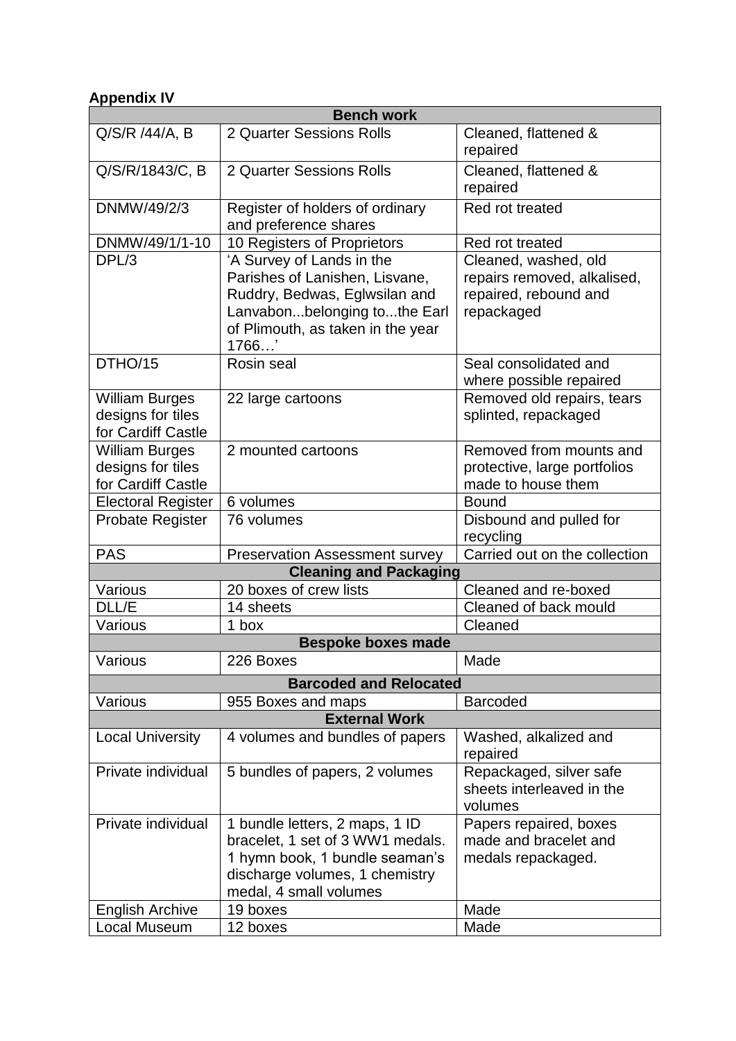# **Appendix IV**

| <b>Bench work</b>             |                                       |                               |  |  |  |
|-------------------------------|---------------------------------------|-------------------------------|--|--|--|
| Q/S/R /44/A, B                | 2 Quarter Sessions Rolls              | Cleaned, flattened &          |  |  |  |
|                               |                                       | repaired                      |  |  |  |
| Q/S/R/1843/C, B               | 2 Quarter Sessions Rolls              | Cleaned, flattened &          |  |  |  |
|                               |                                       | repaired                      |  |  |  |
| DNMW/49/2/3                   | Register of holders of ordinary       | Red rot treated               |  |  |  |
|                               | and preference shares                 |                               |  |  |  |
| DNMW/49/1/1-10                | 10 Registers of Proprietors           | Red rot treated               |  |  |  |
| DPL/3                         | 'A Survey of Lands in the             | Cleaned, washed, old          |  |  |  |
|                               | Parishes of Lanishen, Lisvane,        | repairs removed, alkalised,   |  |  |  |
|                               | Ruddry, Bedwas, Eglwsilan and         | repaired, rebound and         |  |  |  |
|                               | Lanvabonbelonging tothe Earl          | repackaged                    |  |  |  |
|                               | of Plimouth, as taken in the year     |                               |  |  |  |
|                               | 1766                                  |                               |  |  |  |
| DTHO/15                       | Rosin seal                            | Seal consolidated and         |  |  |  |
|                               |                                       | where possible repaired       |  |  |  |
| <b>William Burges</b>         | 22 large cartoons                     | Removed old repairs, tears    |  |  |  |
| designs for tiles             |                                       | splinted, repackaged          |  |  |  |
| for Cardiff Castle            |                                       |                               |  |  |  |
| <b>William Burges</b>         | 2 mounted cartoons                    | Removed from mounts and       |  |  |  |
| designs for tiles             |                                       | protective, large portfolios  |  |  |  |
| for Cardiff Castle            |                                       | made to house them            |  |  |  |
| <b>Electoral Register</b>     | 6 volumes                             | <b>Bound</b>                  |  |  |  |
| Probate Register              | 76 volumes                            | Disbound and pulled for       |  |  |  |
|                               |                                       | recycling                     |  |  |  |
| <b>PAS</b>                    | <b>Preservation Assessment survey</b> | Carried out on the collection |  |  |  |
| <b>Cleaning and Packaging</b> |                                       |                               |  |  |  |
| Various                       | 20 boxes of crew lists                | Cleaned and re-boxed          |  |  |  |
| DLL/E                         | 14 sheets                             | Cleaned of back mould         |  |  |  |
| Various                       | 1 box                                 | Cleaned                       |  |  |  |
|                               | <b>Bespoke boxes made</b>             |                               |  |  |  |
| Various                       | 226 Boxes                             | Made                          |  |  |  |
| <b>Barcoded and Relocated</b> |                                       |                               |  |  |  |
| Various                       | 955 Boxes and maps                    | <b>Barcoded</b>               |  |  |  |
| <b>External Work</b>          |                                       |                               |  |  |  |
| <b>Local University</b>       | 4 volumes and bundles of papers       | Washed, alkalized and         |  |  |  |
|                               |                                       | repaired                      |  |  |  |
| Private individual            | 5 bundles of papers, 2 volumes        | Repackaged, silver safe       |  |  |  |
|                               |                                       | sheets interleaved in the     |  |  |  |
|                               |                                       | volumes                       |  |  |  |
| Private individual            | 1 bundle letters, 2 maps, 1 ID        | Papers repaired, boxes        |  |  |  |
|                               | bracelet, 1 set of 3 WW1 medals.      | made and bracelet and         |  |  |  |
|                               | 1 hymn book, 1 bundle seaman's        | medals repackaged.            |  |  |  |
|                               | discharge volumes, 1 chemistry        |                               |  |  |  |
|                               | medal, 4 small volumes                |                               |  |  |  |
| <b>English Archive</b>        | 19 boxes                              | Made                          |  |  |  |
| Local Museum                  | 12 boxes                              | Made                          |  |  |  |